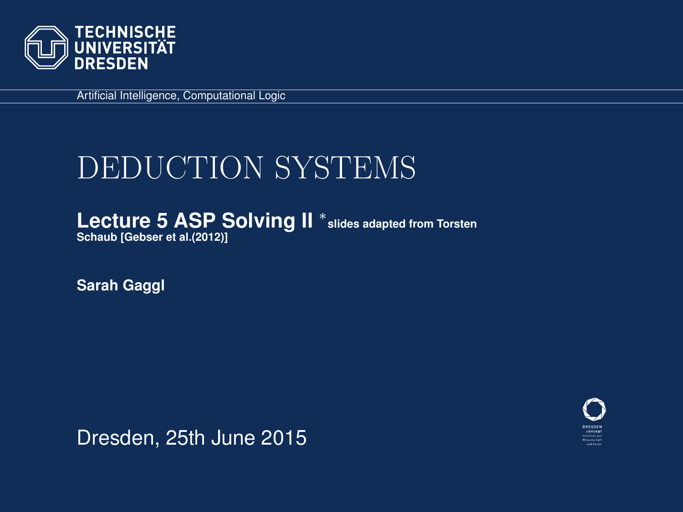

Artificial Intelligence, Computational Logic

# DEDUCTION SYSTEMS

Lecture 5 ASP Solving II<sup>\*</sup> slides adapted from Torsten **Schaub [\[Gebser et al.\(2012\)\]](#page-68-0)**

**Sarah Gaggl**

<span id="page-0-0"></span>

Dresden, 25th June 2015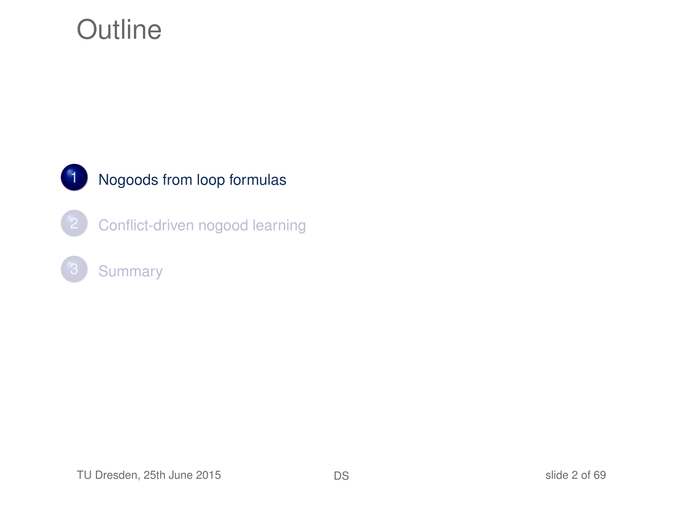### **Outline**



#### 1 [Nogoods from loop formulas](#page-1-0)

[Conflict-driven nogood learning](#page-13-0)

#### <span id="page-1-0"></span>**[Summary](#page-66-0)**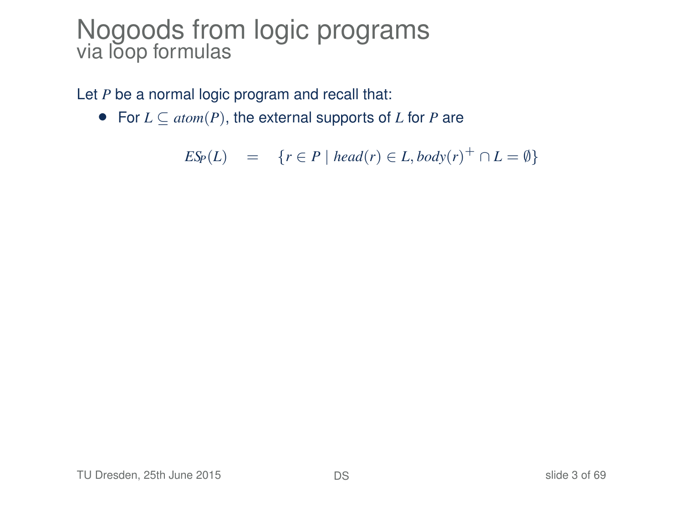#### Nogoods from logic programs via lõop formulas

Let *P* be a normal logic program and recall that:

• For *L* ⊆ *atom*(*P*), the external supports of *L* for *P* are

$$
E\mathcal{S}_P(L) = \{r \in P \mid head(r) \in L, body(r)^+ \cap L = \emptyset\}
$$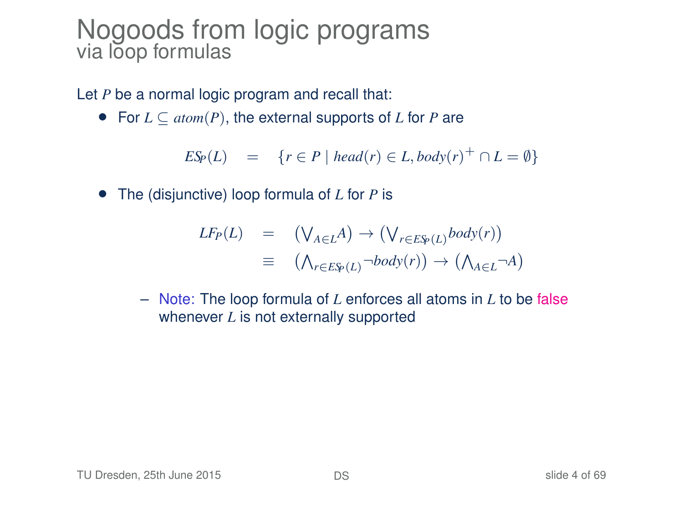#### Nogoods from logic programs via loop formulas

Let *P* be a normal logic program and recall that:

• For *L* ⊆ *atom*(*P*), the external supports of *L* for *P* are

 $ES_P(L) = \{r \in P \mid head(r) \in L, body(r)^+ \cap L = \emptyset\}$ 

• The (disjunctive) loop formula of *L* for *P* is

$$
LF_P(L) = (\bigvee_{A \in L} A) \rightarrow (\bigvee_{r \in E\mathfrak{S}_P(L)} body(r))
$$
  

$$
\equiv (\bigwedge_{r \in E\mathfrak{S}_P(L)} \neg body(r)) \rightarrow (\bigwedge_{A \in L} \neg A)
$$

– Note: The loop formula of *L* enforces all atoms in *L* to be false whenever *L* is not externally supported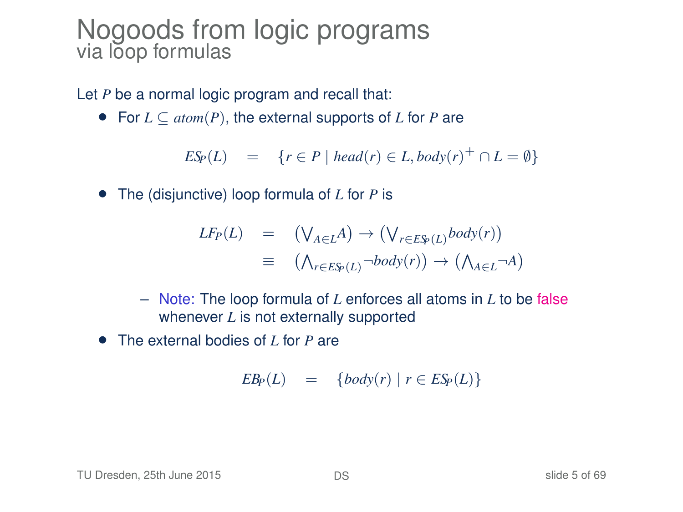#### Nogoods from logic programs via loop formulas

Let *P* be a normal logic program and recall that:

• For *L* ⊆ *atom*(*P*), the external supports of *L* for *P* are

 $ES_P(L) = \{r \in P \mid head(r) \in L, body(r)^+ \cap L = \emptyset\}$ 

• The (disjunctive) loop formula of *L* for *P* is

$$
LF_P(L) = (\bigvee_{A \in L} A) \rightarrow (\bigvee_{r \in E\mathfrak{S}_P(L)} body(r))
$$
  

$$
\equiv (\bigwedge_{r \in E\mathfrak{S}_P(L)} \neg body(r)) \rightarrow (\bigwedge_{A \in L} \neg A)
$$

- Note: The loop formula of *L* enforces all atoms in *L* to be false whenever *L* is not externally supported
- The external bodies of *L* for *P* are

$$
EB_P(L) = \{body(r) | r \in ESp(L)\}
$$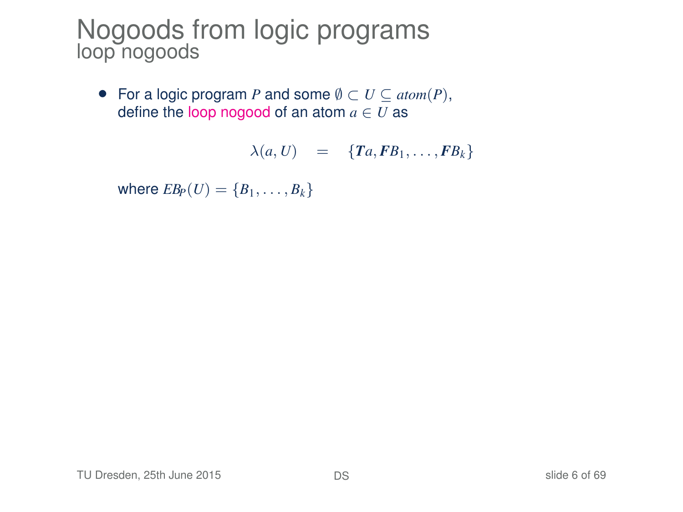#### Nogoods from logic programs loop nogoods

• For a logic program *P* and some  $\emptyset \subset U \subseteq atom(P)$ , define the loop nogood of an atom  $a \in U$  as

$$
\lambda(a, U) = \{Ta, FB_1, \ldots, FB_k\}
$$

where  $EB_P(U) = \{B_1, \ldots, B_k\}$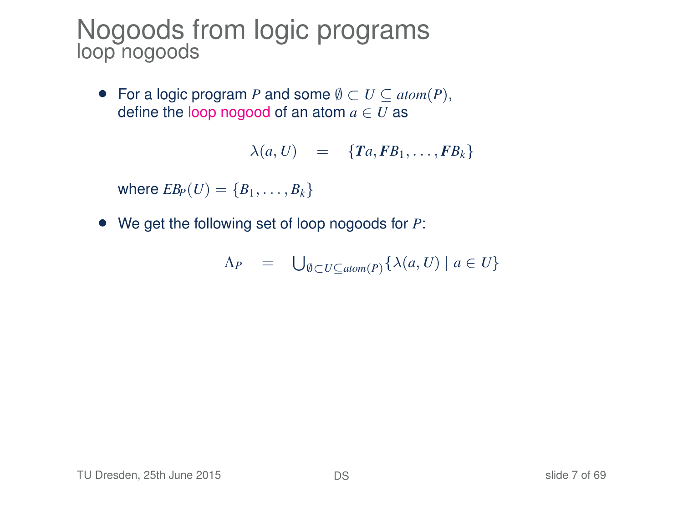#### Nogoods from logic programs loop nogoods

• For a logic program *P* and some  $\emptyset \subset U \subseteq atom(P)$ , define the loop nogood of an atom  $a \in U$  as

$$
\lambda(a, U) = \{Ta, FB_1, \ldots, FB_k\}
$$

where  $EB_P(U) = \{B_1, \ldots, B_k\}$ 

• We get the following set of loop nogoods for *P*:

$$
\Lambda_P = \bigcup_{\emptyset \subset U \subseteq \text{atom}(P)} \{ \lambda(a, U) \mid a \in U \}
$$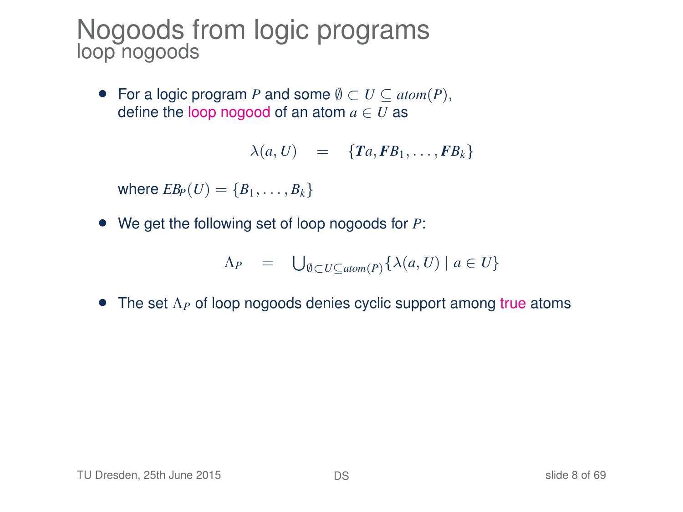#### Nogoods from logic programs loop nogoods

• For a logic program *P* and some  $\emptyset \subset U \subseteq atom(P)$ , define the loop nogood of an atom  $a \in U$  as

$$
\lambda(a, U) = \{Ta, FB_1, \ldots, FB_k\}
$$

where  $EB_P(U) = \{B_1, \ldots, B_k\}$ 

• We get the following set of loop nogoods for *P*:

$$
\Lambda_P = \bigcup_{\emptyset \subset U \subseteq \text{atom}(P)} \{ \lambda(a, U) \mid a \in U \}
$$

• The set Λ*<sup>P</sup>* of loop nogoods denies cyclic support among true atoms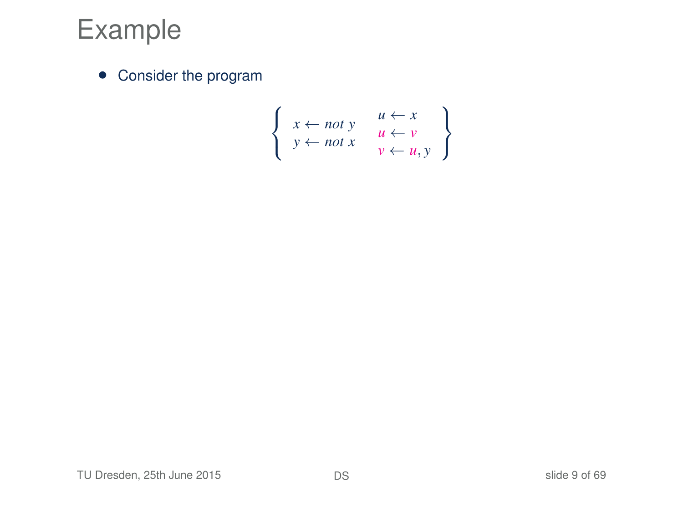### Example

• Consider the program

$$
\left\{\n \begin{array}{l}\n x \leftarrow not \ y & u \leftarrow x \\
 y \leftarrow not \ x & u \leftarrow y \\
 v \leftarrow u, y\n \end{array}\n\right\}
$$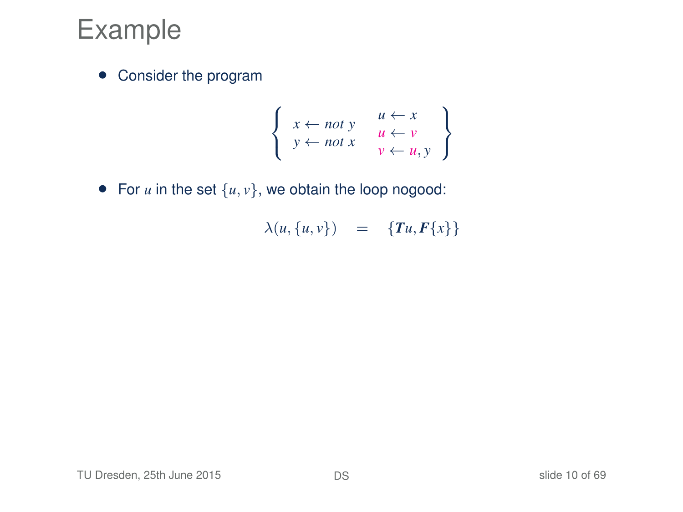### Example

• Consider the program

$$
\left\{\n \begin{array}{l}\n x \leftarrow not \ y \\
 y \leftarrow not \ x\n \end{array}\n \quad\n \begin{array}{l}\n u \leftarrow x \\
 u \leftarrow y \\
 v \leftarrow u, y\n \end{array}\n \right\}
$$

• For  $u$  in the set  $\{u, v\}$ , we obtain the loop nogood:

$$
\lambda(u,\{u,v\})\quad =\quad \{\textit{T} u,\textit{F}\{x\}\}
$$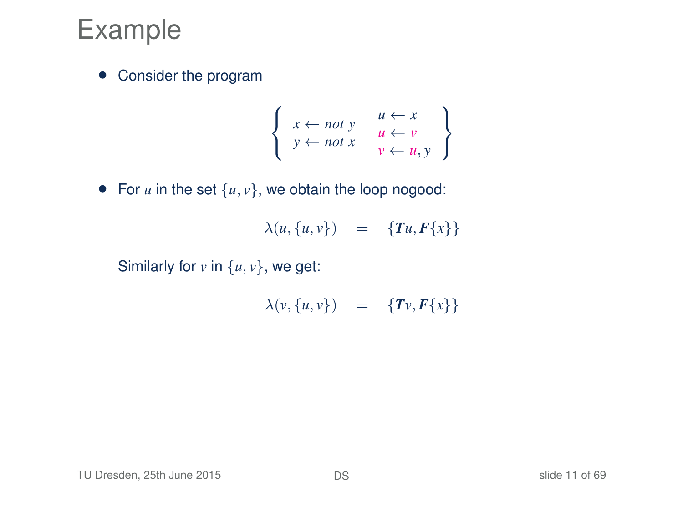### Example

• Consider the program

$$
\left\{\n \begin{array}{l}\n x \leftarrow not \ y \\
 y \leftarrow not \ x\n \end{array}\n \quad\n \begin{array}{l}\n u \leftarrow x \\
 u \leftarrow y \\
 v \leftarrow u, y\n \end{array}\n \right\}
$$

• For  $u$  in the set  $\{u, v\}$ , we obtain the loop nogood:

$$
\lambda(u,\{u,v\}) = \{Tu,F\{x\}\}\
$$

Similarly for  $v$  in  $\{u, v\}$ , we get:

$$
\lambda(v, \{u, v\}) = \{Tv, F\{x\}\}\
$$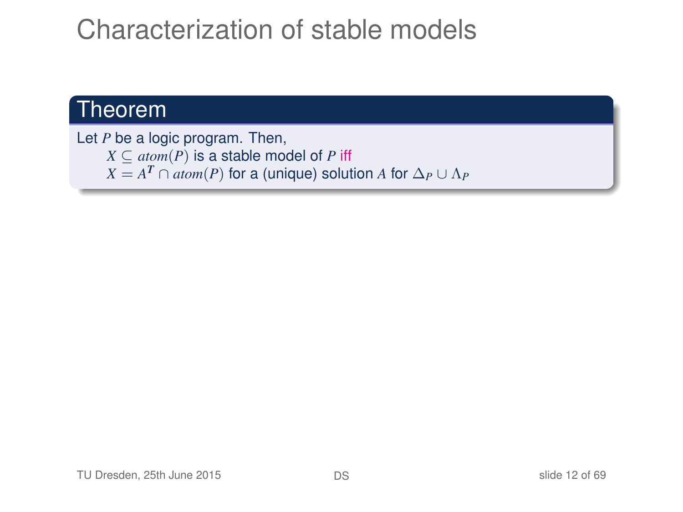### Characterization of stable models

#### Theorem

Let *P* be a logic program. Then,  $X \subseteq atom(P)$  is a stable model of *P* iff  $X = A^T \cap atom(P)$  for a (unique) solution *A* for  $\Delta_P \cup \Lambda_P$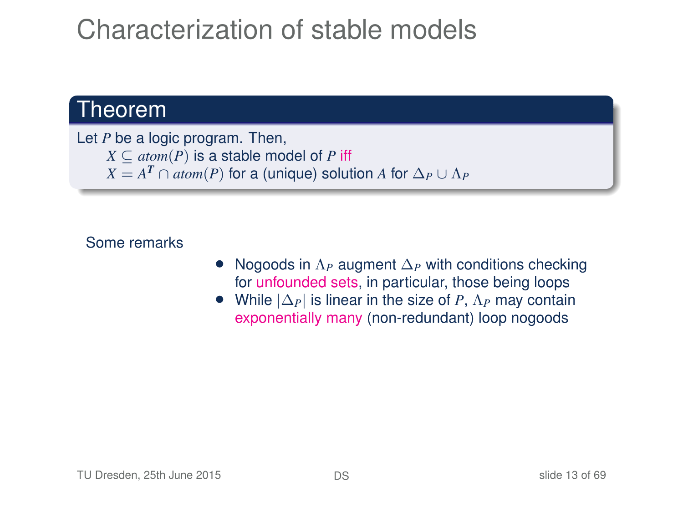### Characterization of stable models

#### Theorem

Let *P* be a logic program. Then,  $X \subseteq atom(P)$  is a stable model of *P* iff  $X = A^T \cap atom(P)$  for a (unique) solution *A* for  $\Delta_P \cup \Lambda_P$ 

#### Some remarks

- Nogoods in Λ*<sup>P</sup>* augment ∆*<sup>P</sup>* with conditions checking for unfounded sets, in particular, those being loops
- While |∆*P*| is linear in the size of *P*, Λ*<sup>P</sup>* may contain exponentially many (non-redundant) loop nogoods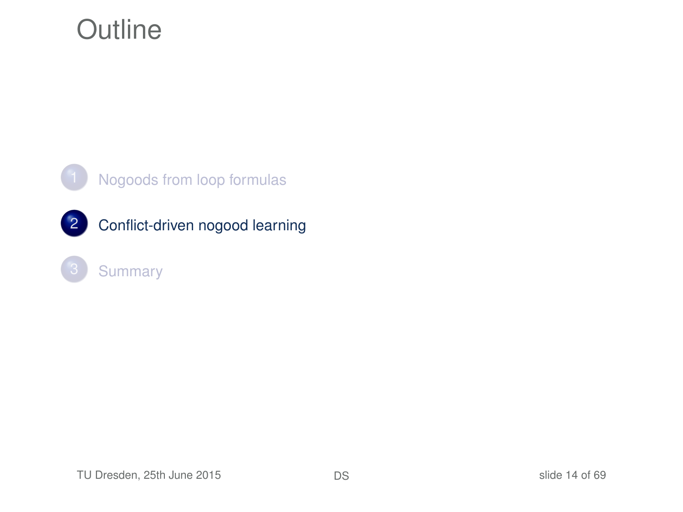### **Outline**



#### [Nogoods from loop formulas](#page-1-0)



#### <span id="page-13-0"></span>**[Summary](#page-66-0)**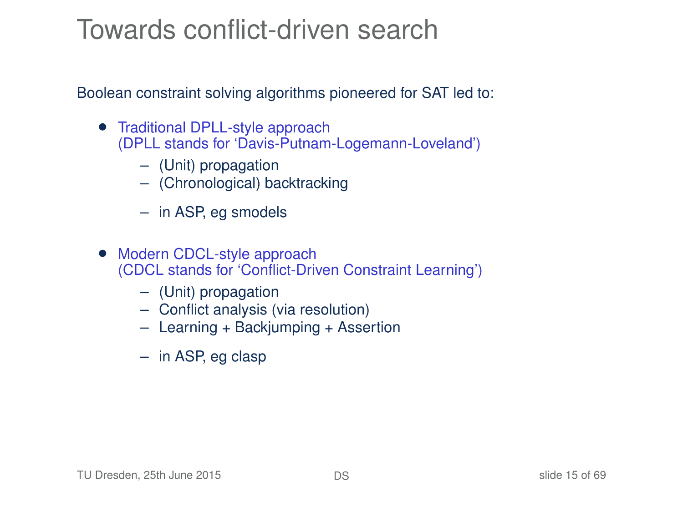### Towards conflict-driven search

Boolean constraint solving algorithms pioneered for SAT led to:

- Traditional DPLL-style approach (DPLL stands for 'Davis-Putnam-Logemann-Loveland')
	- (Unit) propagation
	- (Chronological) backtracking
	- in ASP, eg smodels
- Modern CDCL-style approach (CDCL stands for 'Conflict-Driven Constraint Learning')
	- (Unit) propagation
	- Conflict analysis (via resolution)
	- Learning + Backjumping + Assertion
	- in ASP, eg clasp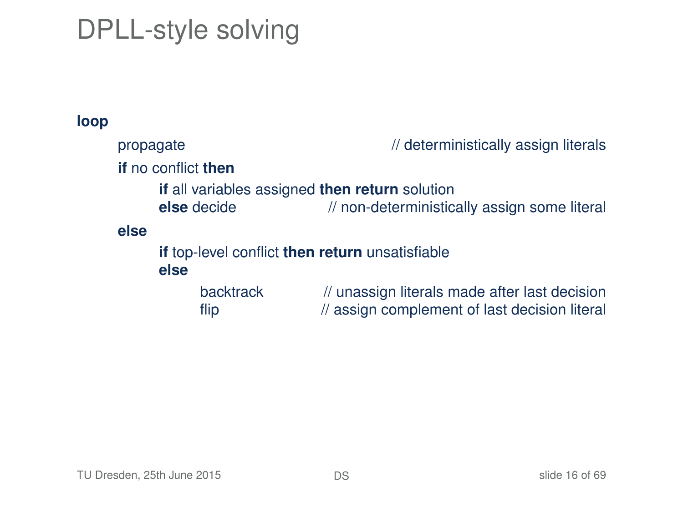# DPLL-style solving

#### **loop**

| propagate                                               | // deterministically assign literals                                                           |
|---------------------------------------------------------|------------------------------------------------------------------------------------------------|
| <b>if</b> no conflict <b>then</b>                       |                                                                                                |
| if all variables assigned then return solution          |                                                                                                |
| else decide                                             | // non-deterministically assign some literal                                                   |
| else                                                    |                                                                                                |
| if top-level conflict then return unsatisfiable<br>else |                                                                                                |
| <b>backtrack</b><br>flip                                | // unassign literals made after last decision<br>// assign complement of last decision literal |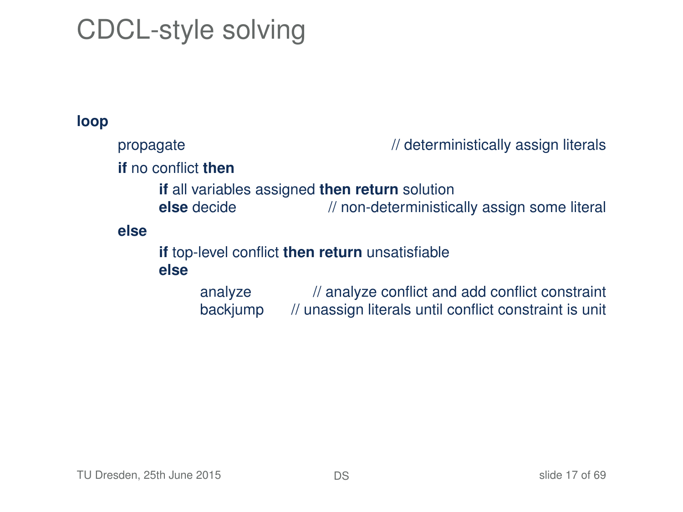# CDCL-style solving

#### **loop**

| propagate |                                   | // deterministically assign literals                                                                      |
|-----------|-----------------------------------|-----------------------------------------------------------------------------------------------------------|
|           | <b>if</b> no conflict <b>then</b> |                                                                                                           |
|           | else decide                       | <b>if</b> all variables assigned then return solution<br>// non-deterministically assign some literal     |
| else      | else                              | if top-level conflict then return unsatisfiable                                                           |
|           | analyze<br>backjump               | // analyze conflict and add conflict constraint<br>// unassign literals until conflict constraint is unit |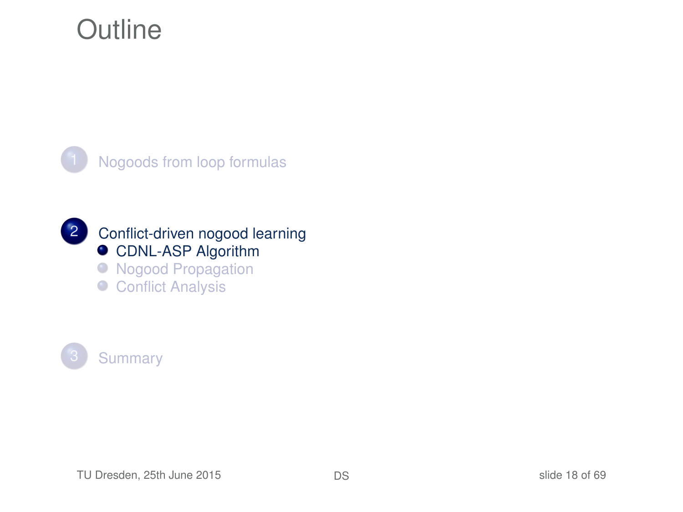### **Outline**





2 [Conflict-driven nogood learning](#page-13-0) **[CDNL-ASP Algorithm](#page-17-0)** 

- **[Nogood Propagation](#page-36-0)**
- <span id="page-17-0"></span>● [Conflict Analysis](#page-45-0)

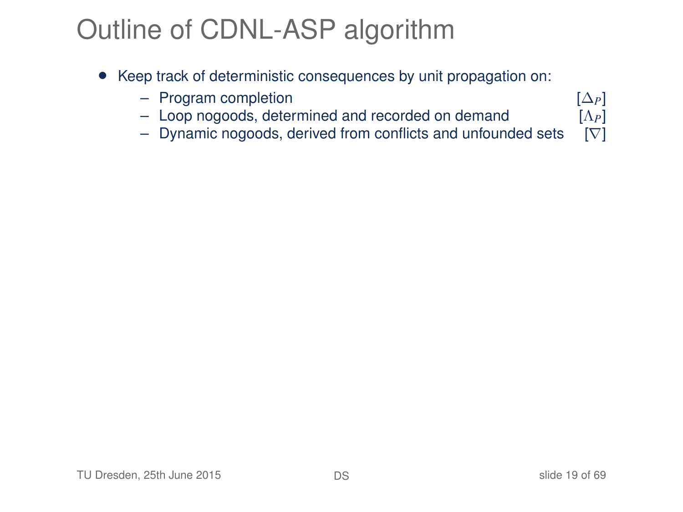# Outline of CDNL-ASP algorithm

- Keep track of deterministic consequences by unit propagation on:
	-
	- Program completion  $[\Delta_P]$ <br>
	 Loop nogoods, determined and recorded on demand  $[\Lambda_P]$ – Loop nogoods, determined and recorded on demand [Λ*P*]
	- Dynamic nogoods, derived from conflicts and unfounded sets [∇]

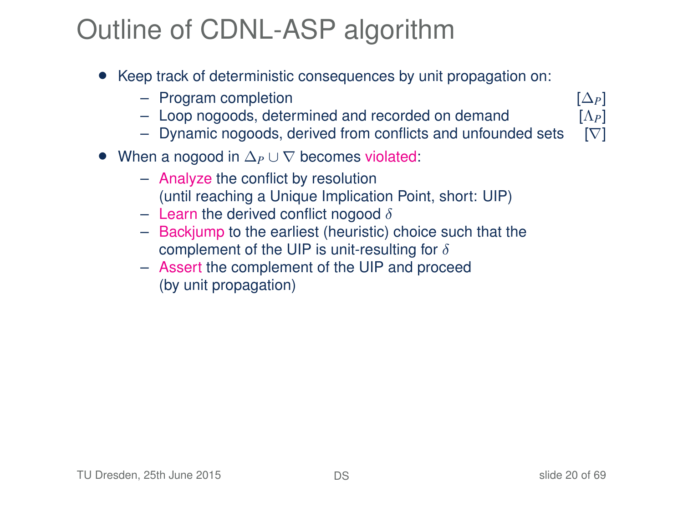# Outline of CDNL-ASP algorithm

- Keep track of deterministic consequences by unit propagation on:
	-
	- Program completion [∆*P*] – Loop nogoods, determined and recorded on demand [Λ*P*]
	- Dynamic nogoods, derived from conflicts and unfounded sets  $[\nabla]$
- When a nogood in ∆*<sup>P</sup>* ∪ ∇ becomes violated:
	- Analyze the conflict by resolution (until reaching a Unique Implication Point, short: UIP)
	- Learn the derived conflict nogood  $\delta$
	- Backjump to the earliest (heuristic) choice such that the complement of the UIP is unit-resulting for  $\delta$
	- Assert the complement of the UIP and proceed (by unit propagation)



TU Dresden, 25th June 2015 **[DS](#page-0-0) DS DS** slide 20 of 69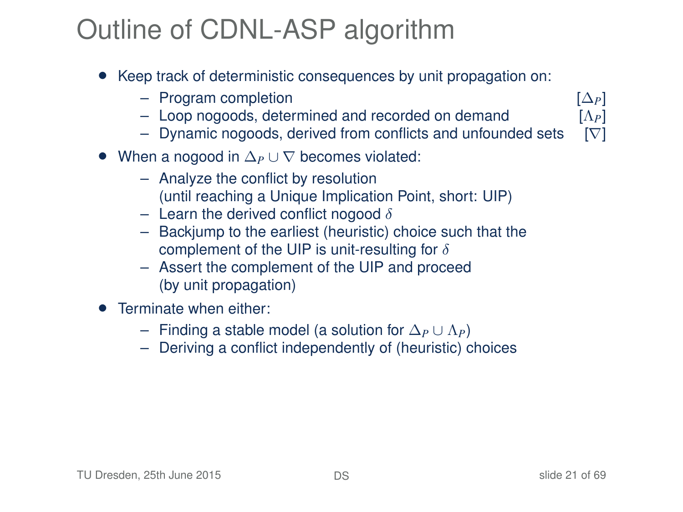# Outline of CDNL-ASP algorithm

- Keep track of deterministic consequences by unit propagation on:
	-
	- Program completion [∆*P*] – Loop nogoods, determined and recorded on demand [Λ*P*]
	- Dynamic nogoods, derived from conflicts and unfounded sets  $[\nabla]$
- When a nogood in ∆*<sup>P</sup>* ∪ ∇ becomes violated:
	- Analyze the conflict by resolution (until reaching a Unique Implication Point, short: UIP)
	- Learn the derived conflict nogood  $\delta$
	- Backjump to the earliest (heuristic) choice such that the complement of the UIP is unit-resulting for  $\delta$
	- Assert the complement of the UIP and proceed (by unit propagation)
- **•** Terminate when either:
	- Finding a stable model (a solution for ∆*<sup>P</sup>* ∪ Λ*P*)
	- Deriving a conflict independently of (heuristic) choices

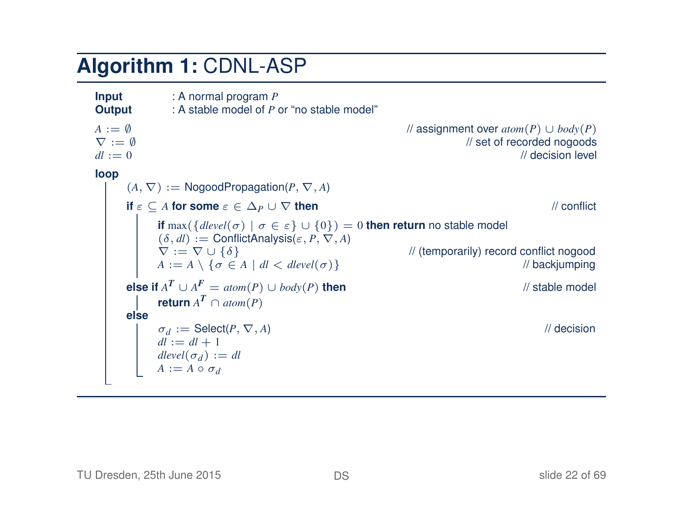#### **Algorithm 1:** CDNL-ASP

**Input** : A normal program *P*<br> **Output** : A stable model of *P* **Output** : A stable model of *P* or "no stable model" *A* := ∅<br>*A A i* = *∬*  $\overline{X}$  *i* = *∬*  $\overline{X}$  *i* = *∬*  $\overline{X}$  *i* ≤ *M set* of recorded pogoods  $\nabla := \emptyset$ <br>  $dl := 0$  // set of recorded nogoods // decision level  $dl := 0$  // decision level **loop**  $(A, \nabla) := \text{NogoodPropagation}(P, \nabla, A)$ **if**  $\varepsilon \subset A$  **for some**  $\varepsilon \in \Delta_P \cup \nabla$  **then** // conflict **if** max( ${delvel(\sigma) | \sigma \in \varepsilon} \cup {0}$ ) = 0 **then return** no stable model  $(\delta, dl) :=$  ConflictAnalysis( $\varepsilon, P, \nabla, A$ )<br>  $\nabla := \nabla \cup {\delta}$ // (temporarily) record conflict nogood<br>// backiumping  $A := A \setminus \{ \sigma \in A \mid dl < \text{dlevel}(\sigma) \}$ **else if**  $A^T \cup A^F = atom(P) \cup body(P)$  **then** // stable model *return*  $A^T \cap atom(P)$ **else**  $\sigma_d := \text{Select}(P, \nabla, A)$  // decision  $dl := dl + 1$  $dlevel(\sigma_d) := dl$  $A := A \circ \sigma_d$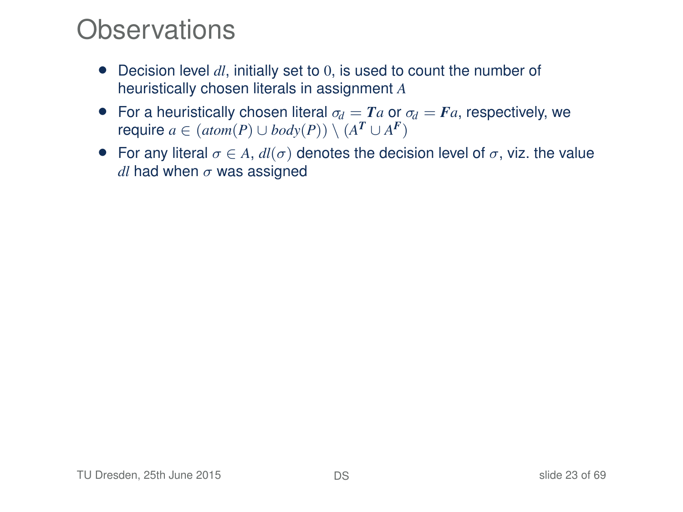### **Observations**

- Decision level *dl*, initially set to 0, is used to count the number of heuristically chosen literals in assignment *A*
- For a heuristically chosen literal  $\sigma_d = Ta$  or  $\sigma_d = Fa$ , respectively, we *r*equire  $a \in (atom(P) \cup body(P)) \setminus (A^T \cup A^F)$
- For any literal  $\sigma \in A$ ,  $dl(\sigma)$  denotes the decision level of  $\sigma$ , viz. the value  $dl$  had when  $\sigma$  was assigned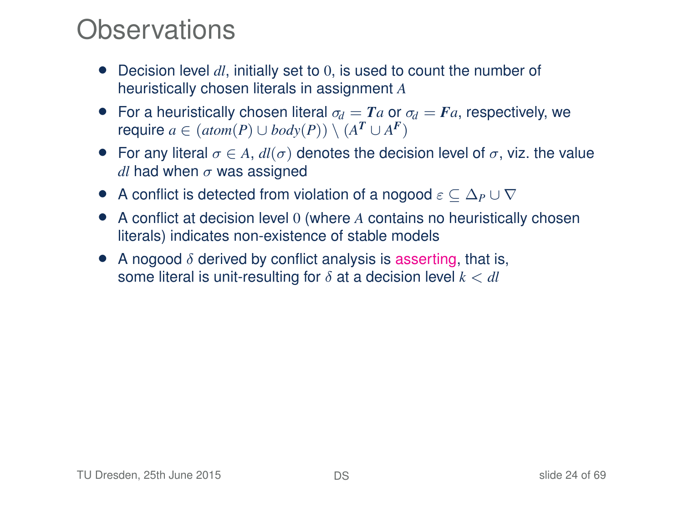### **Observations**

- Decision level *dl*, initially set to 0, is used to count the number of heuristically chosen literals in assignment *A*
- For a heuristically chosen literal  $\sigma_d = Ta$  or  $\sigma_d = Fa$ , respectively, we *r*equire  $a \in (atom(P) \cup body(P)) \setminus (A^T \cup A^F)$
- For any literal  $\sigma \in A$ ,  $dl(\sigma)$  denotes the decision level of  $\sigma$ , viz. the value *dl* had when  $\sigma$  was assigned
- A conflict is detected from violation of a nogood ε ⊆ ∆*<sup>P</sup>* ∪ ∇
- A conflict at decision level 0 (where *A* contains no heuristically chosen literals) indicates non-existence of stable models
- A nogood  $\delta$  derived by conflict analysis is asserting, that is, some literal is unit-resulting for  $\delta$  at a decision level  $k < dl$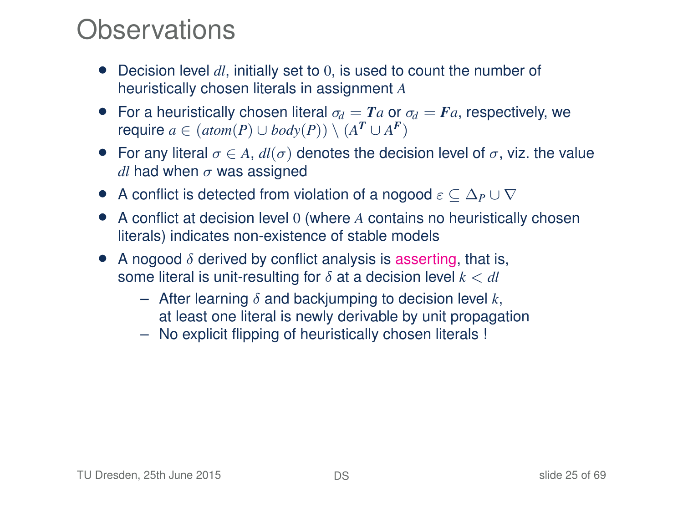### **Observations**

- Decision level *dl*, initially set to 0, is used to count the number of heuristically chosen literals in assignment *A*
- For a heuristically chosen literal  $\sigma_d = Ta$  or  $\sigma_d = Fa$ , respectively, we *r*equire  $a \in (atom(P) \cup body(P)) \setminus (A^T \cup A^F)$
- For any literal  $\sigma \in A$ ,  $dl(\sigma)$  denotes the decision level of  $\sigma$ , viz. the value *dl* had when  $\sigma$  was assigned
- A conflict is detected from violation of a nogood ε ⊆ ∆*<sup>P</sup>* ∪ ∇
- A conflict at decision level 0 (where *A* contains no heuristically chosen literals) indicates non-existence of stable models
- A nogood  $\delta$  derived by conflict analysis is asserting, that is, some literal is unit-resulting for  $\delta$  at a decision level  $k < dl$ 
	- $-$  After learning  $\delta$  and backjumping to decision level  $k$ , at least one literal is newly derivable by unit propagation
	- No explicit flipping of heuristically chosen literals !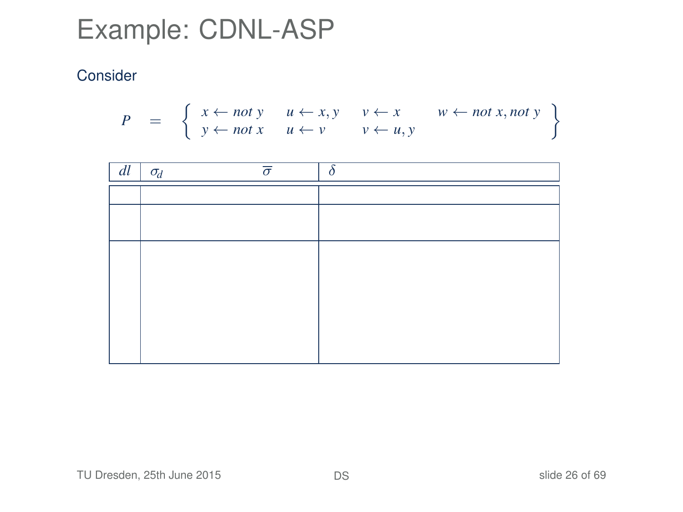$$
P = \left\{ \begin{array}{ll} x \leftarrow not \ y & u \leftarrow x, y & v \leftarrow x & w \leftarrow not \ x, not \ y \\ y \leftarrow not \ x & u \leftarrow v & v \leftarrow u, y \end{array} \right\}
$$

| dl | $\sigma_d$ | $\overline{\sigma}$ |  |
|----|------------|---------------------|--|
|    |            |                     |  |
|    |            |                     |  |
|    |            |                     |  |
|    |            |                     |  |
|    |            |                     |  |
|    |            |                     |  |
|    |            |                     |  |
|    |            |                     |  |
|    |            |                     |  |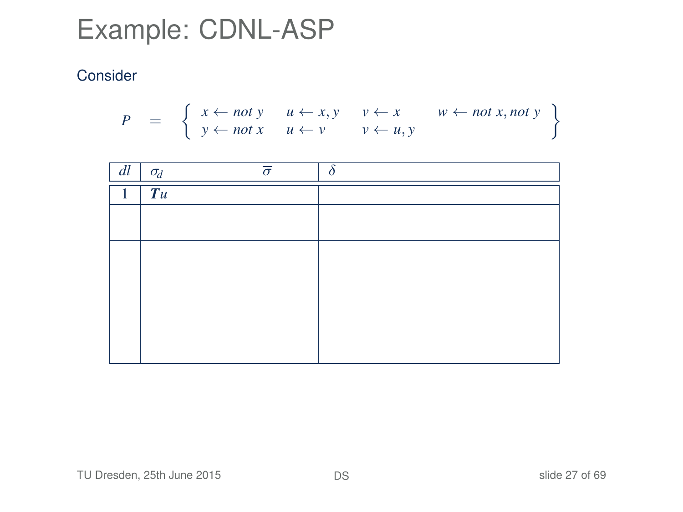$$
P = \left\{ \begin{array}{ll} x \leftarrow not \ y & u \leftarrow x, y & v \leftarrow x & w \leftarrow not \ x, not \ y \\ y \leftarrow not \ x & u \leftarrow v & v \leftarrow u, y \end{array} \right\}
$$

| dl | $\sigma_d$ | $\overline{\sigma}$ | ¢ |
|----|------------|---------------------|---|
|    | Tu         |                     |   |
|    |            |                     |   |
|    |            |                     |   |
|    |            |                     |   |
|    |            |                     |   |
|    |            |                     |   |
|    |            |                     |   |
|    |            |                     |   |
|    |            |                     |   |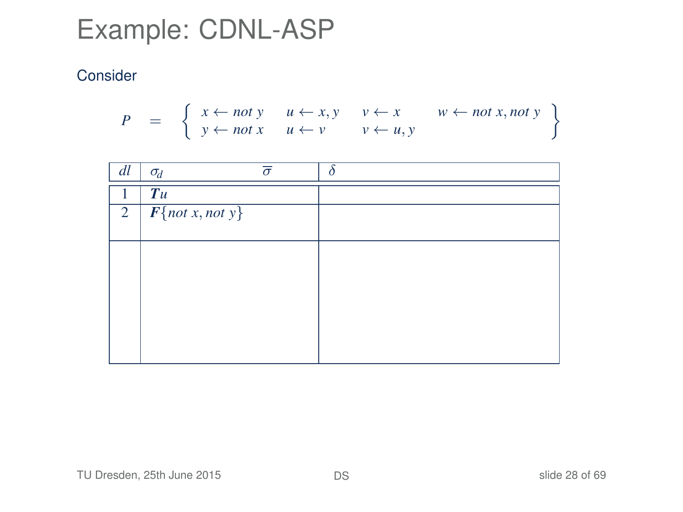$$
P = \left\{ \begin{array}{ll} x \leftarrow not \ y & u \leftarrow x, y & v \leftarrow x & w \leftarrow not \ x, not \ y \\ y \leftarrow not \ x & u \leftarrow v & v \leftarrow u, y \end{array} \right\}
$$

| dl | $\sigma_d$             | $\bar{\sigma}$ |  |
|----|------------------------|----------------|--|
|    | Tu                     |                |  |
|    | 2   $F$ {not x, not y} |                |  |
|    |                        |                |  |
|    |                        |                |  |
|    |                        |                |  |
|    |                        |                |  |
|    |                        |                |  |
|    |                        |                |  |
|    |                        |                |  |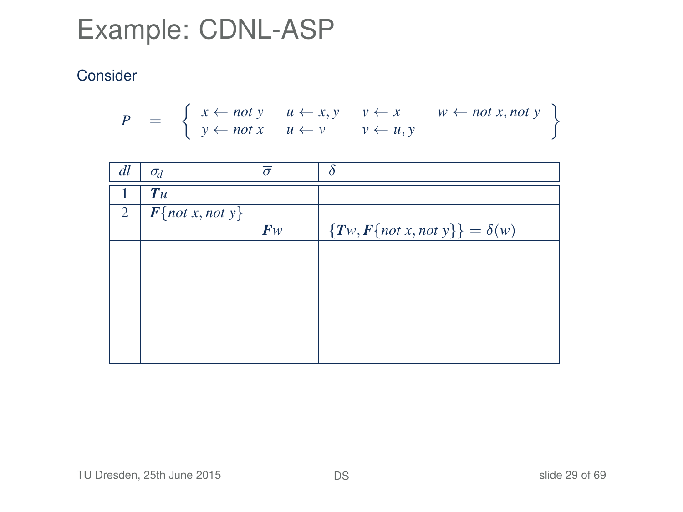$$
P = \left\{ \begin{array}{ll} x \leftarrow not \ y & u \leftarrow x, y & v \leftarrow x & w \leftarrow not \ x, not \ y \\ y \leftarrow not \ x & u \leftarrow v & v \leftarrow u, y \end{array} \right\}
$$

| dl | $\sigma_d$        | $\bar{\sigma}$ | δ                                     |
|----|-------------------|----------------|---------------------------------------|
|    | Tu                |                |                                       |
| 2  | $F{not x, not y}$ |                |                                       |
|    |                   | F <sub>W</sub> | ${Tw, F\{not x, not y\}} = \delta(w)$ |
|    |                   |                |                                       |
|    |                   |                |                                       |
|    |                   |                |                                       |
|    |                   |                |                                       |
|    |                   |                |                                       |
|    |                   |                |                                       |
|    |                   |                |                                       |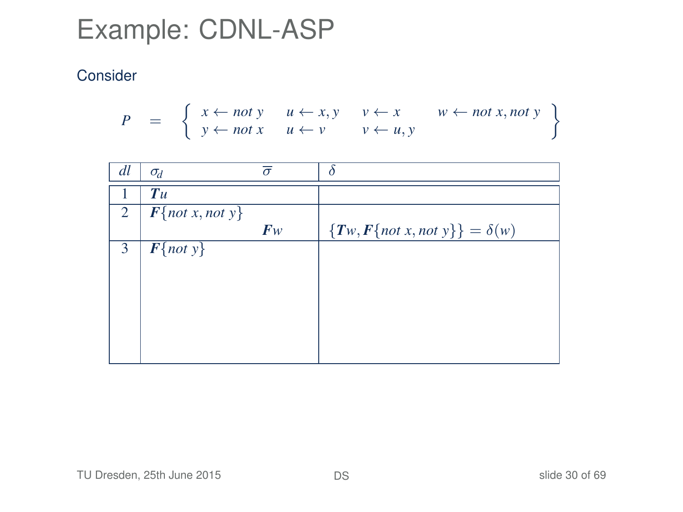$$
P = \left\{ \begin{array}{ll} x \leftarrow not \ y & u \leftarrow x, y & v \leftarrow x & w \leftarrow not \ x, not \ y \\ y \leftarrow not \ x & u \leftarrow v & v \leftarrow u, y \end{array} \right\}
$$

| dl | $\sigma_d$                     | $\bar{\sigma}$ | $\delta$                                |
|----|--------------------------------|----------------|-----------------------------------------|
|    | Tu                             |                |                                         |
| 2  | $\overline{F\{not x, not y\}}$ |                |                                         |
|    |                                | F <sub>W</sub> | $\{Tw, F\{not x, not y\}\} = \delta(w)$ |
| 3  | $\overline{F\{not\} }$         |                |                                         |
|    |                                |                |                                         |
|    |                                |                |                                         |
|    |                                |                |                                         |
|    |                                |                |                                         |
|    |                                |                |                                         |
|    |                                |                |                                         |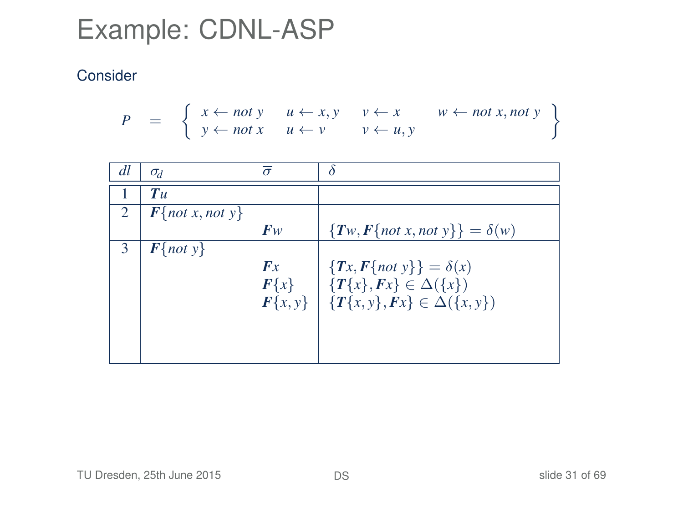$$
P = \left\{ \begin{array}{ll} x \leftarrow not \ y & u \leftarrow x, y & v \leftarrow x & w \leftarrow not \ x, not \ y \\ y \leftarrow not \ x & u \leftarrow v & v \leftarrow u, y \end{array} \right\}
$$

| dl             | $\sigma_d$          | $\bar{\sigma}$ |                                                      |
|----------------|---------------------|----------------|------------------------------------------------------|
|                | Tu                  |                |                                                      |
| $\overline{2}$ | $F\{not x, not y\}$ |                |                                                      |
|                |                     | $F_W$          | ${T_w, F\{not x, not y\}} = \delta(w)$               |
| 3              | $F\{not\}$          |                |                                                      |
|                |                     | Fx             | ${Tx, F\{not\} } = \delta(x)$                        |
|                |                     | $F\{x\}$       | $\{T\{x\}, Fx\} \in \Delta(\{x\})$                   |
|                |                     |                | $F\{x, y\}$ $\{T\{x, y\}, Fx\} \in \Delta(\{x, y\})$ |
|                |                     |                |                                                      |
|                |                     |                |                                                      |
|                |                     |                |                                                      |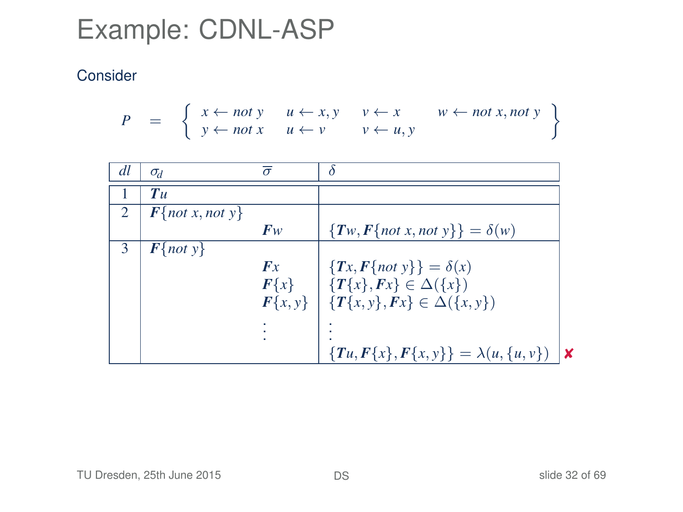$$
P = \left\{ \begin{array}{ll} x \leftarrow not \ y & u \leftarrow x, y & v \leftarrow x & w \leftarrow not \ x, not \ y \\ y \leftarrow not \ x & u \leftarrow v & v \leftarrow u, y \end{array} \right\}
$$

| dl | $\sigma_d$          | $\sigma$    |                                           |    |
|----|---------------------|-------------|-------------------------------------------|----|
|    | $T_{\mathcal{U}}$   |             |                                           |    |
|    | $F\{not x, not y\}$ |             |                                           |    |
|    |                     | $F_W$       | ${T_w, F\{not x, not y\}} = \delta(w)$    |    |
| 3  | $F\{not\}$          |             |                                           |    |
|    |                     | Fx          | ${Tx, F\{not\} } = \delta(x)$             |    |
|    |                     | $F\{x\}$    | $\{T\{x\}, Fx\} \in \Delta(\{x\})$        |    |
|    |                     | $F\{x, y\}$ | $\{T\{x, y\}, Fx\} \in \Delta(\{x, y\})$  |    |
|    |                     |             |                                           |    |
|    |                     |             |                                           |    |
|    |                     |             | ${Tu, F{x}, F{x,y}} = \lambda(u, {u, v})$ | ١x |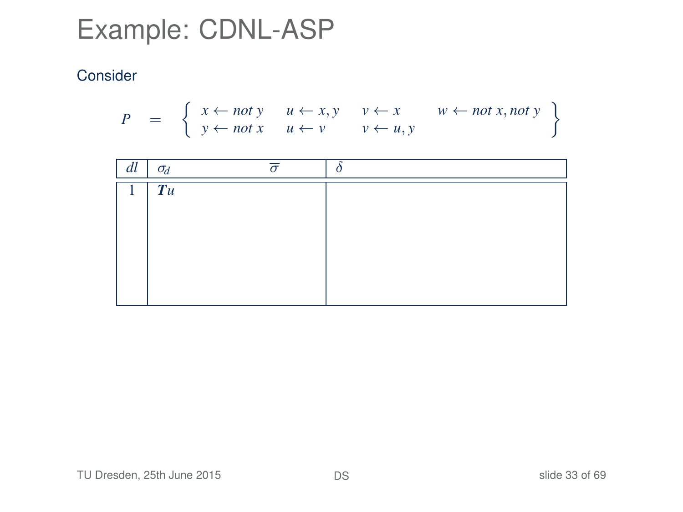$$
P = \left\{ \begin{array}{ll} x \leftarrow not \ y & u \leftarrow x, y & v \leftarrow x & w \leftarrow not \ x, not \ y \\ y \leftarrow not \ x & u \leftarrow v & v \leftarrow u, y \end{array} \right\}
$$

| dl | $\sigma_d$ |  |
|----|------------|--|
|    | Tu         |  |
|    |            |  |
|    |            |  |
|    |            |  |
|    |            |  |
|    |            |  |
|    |            |  |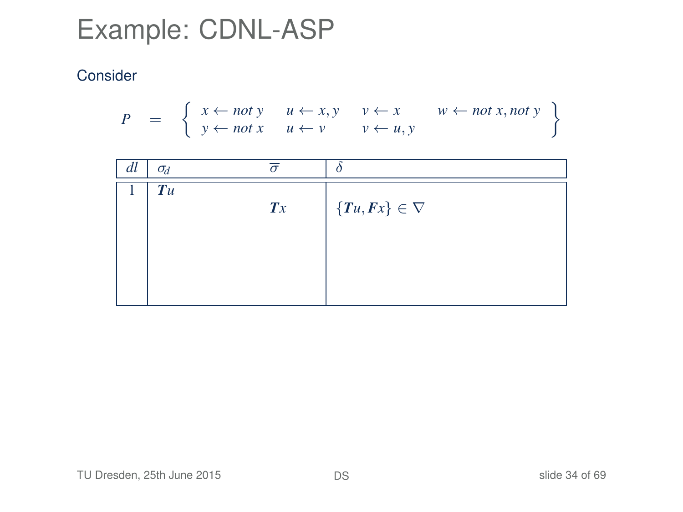$$
P = \left\{ \begin{array}{ll} x \leftarrow not \ y & u \leftarrow x, y & v \leftarrow x & w \leftarrow not \ x, not \ y \\ y \leftarrow not \ x & u \leftarrow v & v \leftarrow u, y \end{array} \right\}
$$

| dl | $\sigma_d$ |                |                         |
|----|------------|----------------|-------------------------|
|    | Tu         |                |                         |
|    |            | $\mathbf{T} x$ | $\{Tu, Fx\} \in \nabla$ |
|    |            |                |                         |
|    |            |                |                         |
|    |            |                |                         |
|    |            |                |                         |
|    |            |                |                         |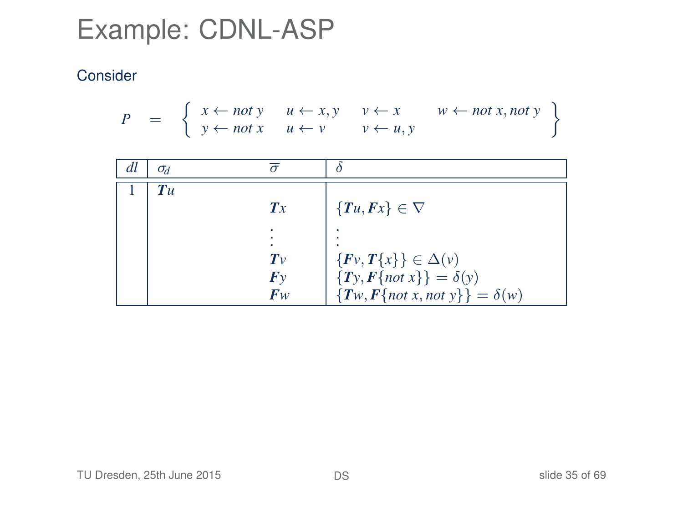$$
P = \left\{ \begin{array}{ccc} x \leftarrow not \ y & u \leftarrow x, y & v \leftarrow x & w \leftarrow not \ x, not \ y \\ y \leftarrow not \ x & u \leftarrow v & v \leftarrow u, y \end{array} \right\}
$$

| dl | $\sigma_d$ |         |                                         |
|----|------------|---------|-----------------------------------------|
|    | T u        |         |                                         |
|    |            | Tx      | $\{Tu, Fx\} \in \nabla$                 |
|    |            |         |                                         |
|    |            | $T_{V}$ |                                         |
|    |            |         | $\{Fv, T\{x\}\}\in \Delta(v)$           |
|    |            | Fv      | ${T_y, F\{not\} } = \delta(y)$          |
|    |            | $F_W$   | $\{Tw, F\{not x, not y\}\} = \delta(w)$ |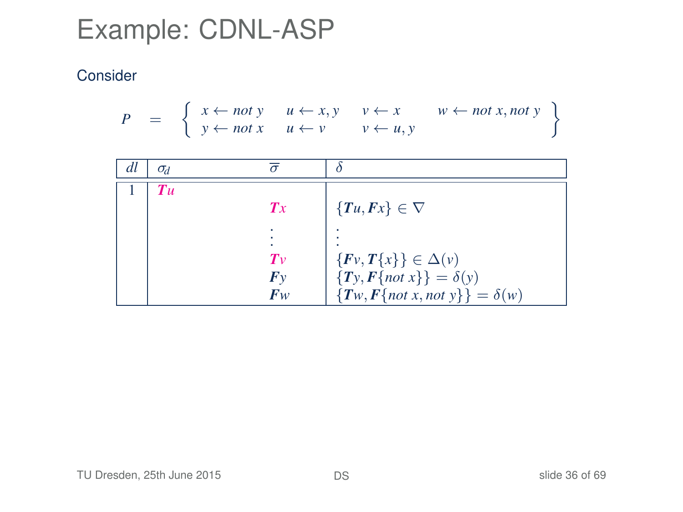$$
P = \left\{ \begin{array}{ccc} x \leftarrow not \ y & u \leftarrow x, y & v \leftarrow x & w \leftarrow not \ x, not \ y \\ y \leftarrow not \ x & u \leftarrow v & v \leftarrow u, y \end{array} \right\}
$$

| dl | $\sigma_d$        |         |                                         |
|----|-------------------|---------|-----------------------------------------|
|    | $T_{\mathcal{U}}$ |         |                                         |
|    |                   | Tx      | $\{Tu, Fx\} \in \nabla$                 |
|    |                   |         |                                         |
|    |                   | $T_{V}$ | $\{Fv, T\{x\}\}\in \Delta(v)$           |
|    |                   | Fv      | ${T_y, F\{not\} } = \delta(y)$          |
|    |                   | $F_W$   | $\{Tw, F\{not x, not y\}\} = \delta(w)$ |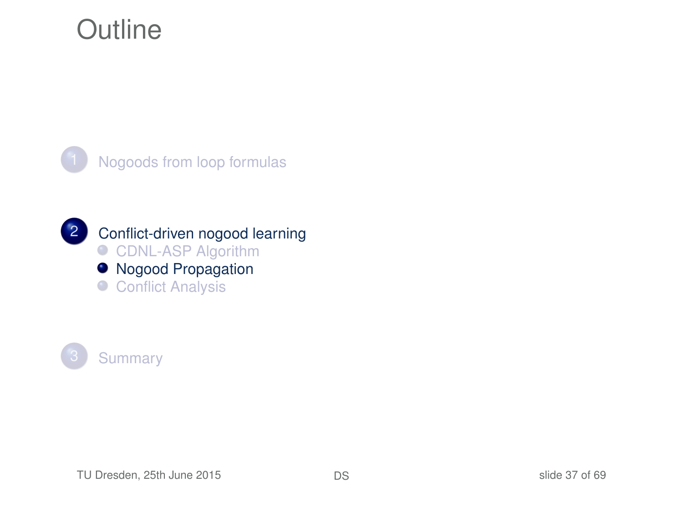### **Outline**





<span id="page-36-0"></span>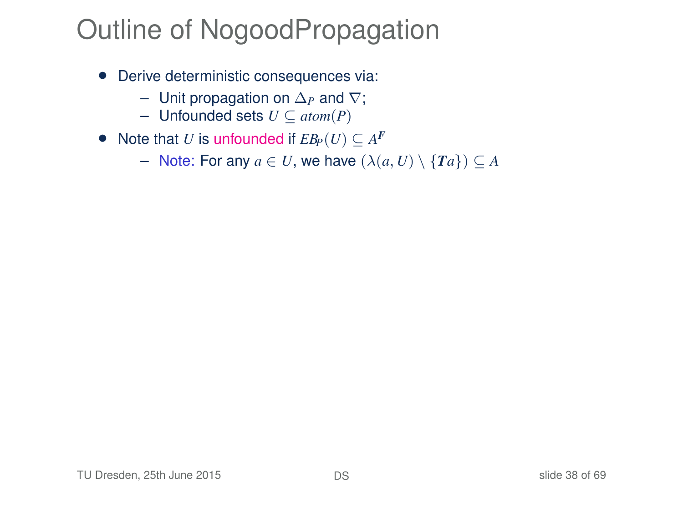- Derive deterministic consequences via:
	- Unit propagation on ∆*<sup>P</sup>* and ∇;
	- Unfounded sets *U* ⊆ *atom*(*P*)
- Note that *U* is unfounded if  $EB_P(U) \subseteq A^F$ 
	- Note: For any *a* ∈ *U*, we have (λ(*a*, *U*) \ {*Ta*}) ⊆ *A*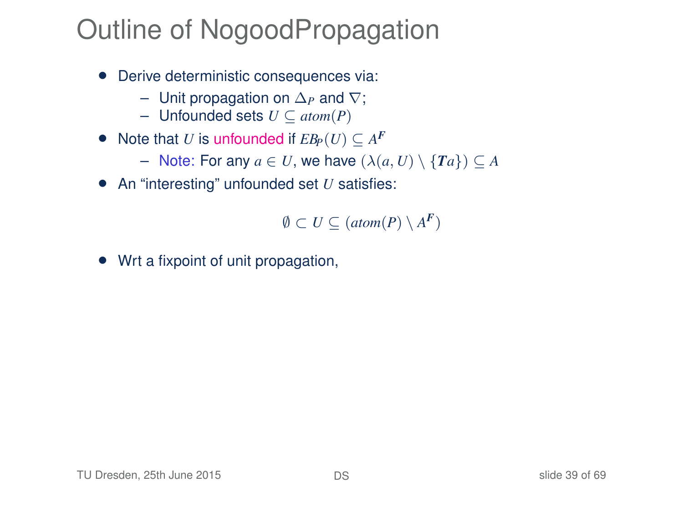- Derive deterministic consequences via:
	- Unit propagation on ∆*<sup>P</sup>* and ∇;
	- Unfounded sets *U* ⊆ *atom*(*P*)
- Note that *U* is unfounded if  $EB_P(U) \subseteq A^F$ 
	- Note: For any *a* ∈ *U*, we have (λ(*a*, *U*) \ {*Ta*}) ⊆ *A*
- An "interesting" unfounded set *U* satisfies:

$$
\emptyset \subset U \subseteq (atom(P) \setminus A^F)
$$

• Wrt a fixpoint of unit propagation,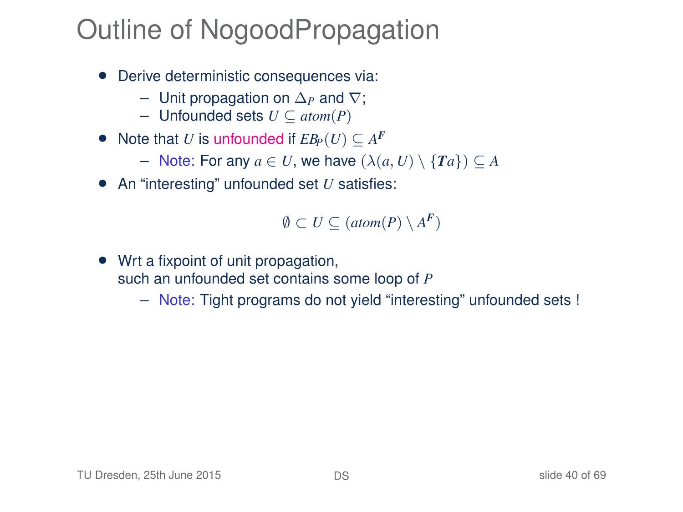- Derive deterministic consequences via:
	- Unit propagation on ∆*<sup>P</sup>* and ∇;
	- Unfounded sets *U* ⊆ *atom*(*P*)
- Note that *U* is unfounded if  $EB_P(U) \subseteq A^F$ 
	- Note: For any *a* ∈ *U*, we have (λ(*a*, *U*) \ {*Ta*}) ⊆ *A*
- An "interesting" unfounded set *U* satisfies:

 $\emptyset$  ⊂ *U* ⊆ (*atom*(*P*) \ *A*<sup>*F*</sup>)

- Wrt a fixpoint of unit propagation, such an unfounded set contains some loop of *P*
	- Note: Tight programs do not yield "interesting" unfounded sets !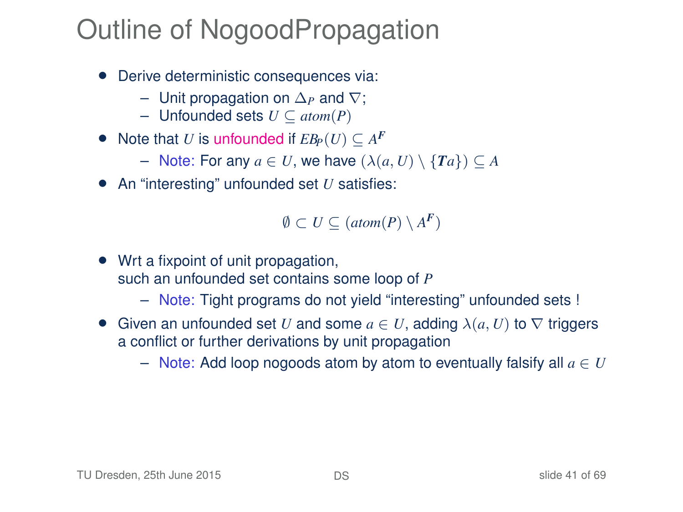- Derive deterministic consequences via:
	- Unit propagation on ∆*<sup>P</sup>* and ∇;
	- Unfounded sets *U* ⊆ *atom*(*P*)
- Note that *U* is unfounded if  $EB_P(U) \subseteq A^F$ 
	- Note: For any *a* ∈ *U*, we have (λ(*a*, *U*) \ {*Ta*}) ⊆ *A*
- An "interesting" unfounded set *U* satisfies:

 $\emptyset$  ⊂ *U* ⊆ (*atom*(*P*) \ *A*<sup>*F*</sup>)

- Wrt a fixpoint of unit propagation, such an unfounded set contains some loop of *P*
	- Note: Tight programs do not yield "interesting" unfounded sets !
- Given an unfounded set *U* and some  $a \in U$ , adding  $\lambda(a, U)$  to  $\nabla$  triggers a conflict or further derivations by unit propagation
	- Note: Add loop nogoods atom by atom to eventually falsify all *a* ∈ *U*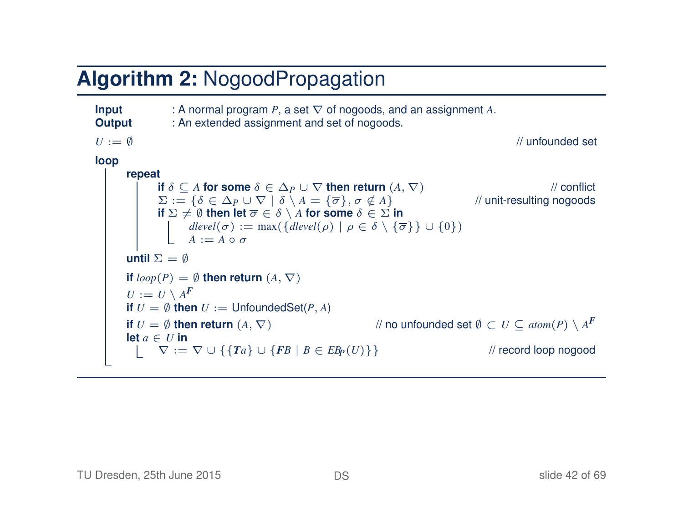#### **Algorithm 2:** NogoodPropagation

```
Input : A normal program P, a set ∇ of nogoods, and an assignment A. Output : An extended assignment and set of nogoods.
                      : An extended assignment and set of nogoods.
U := \emptyset // unfounded set
loop
         repeat
                  if \delta \subseteq A for some \delta \in \Delta_P \cup \nabla then return (A, \nabla) // mit-resulting nogoods \Sigma := \{\delta \in \Delta_P \cup \nabla \mid \delta \setminus A = \{\overline{\sigma}\}, \sigma \notin A\} // unit-resulting nogoods
                  \Sigma := \{\delta \in \Delta_P \cup \nabla \mid \delta \setminus A = \{\overline{\sigma}\}, \sigma \notin A\}if \Sigma \neq \emptyset then let \overline{\sigma} \in \delta \setminus A for some \delta \in \Sigma in
                           dlevel(\sigma) := max(\{dlevel(\rho) | \rho \in \delta \setminus \{\overline{\sigma}\}\} \cup \{0\})A := A \circ \sigmauntil \Sigma = \emptysetif loop(P) = \emptyset then return (A, \nabla)U := U \setminus A^{\pmb{F}}if U = \emptyset then U := UnfoundedSet(P, A)
          if U = \emptyset then return (A, \nabla) // no unfounded set \emptyset \subset U \subseteq \mathit{atom}(P) \setminus A^Flet a \in U in
                  \nabla := \nabla \cup \{ \{ Ta \} \cup \{ FB \mid B \in \mathit{EB}_P(U) \} \} // record loop nogood
```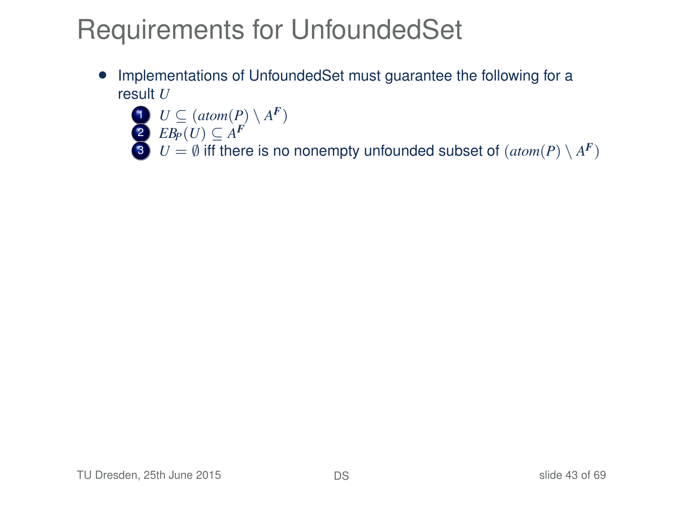## Requirements for UnfoundedSet

• Implementations of UnfoundedSet must guarantee the following for a result *U*

$$
U \subseteq (atom(P) \setminus A^F)
$$

2  $EB_P(U) \subseteq A^F$ 

3  $U = \emptyset$  iff there is no nonempty unfounded subset of  $(\text{atom}(P) \setminus A^F)$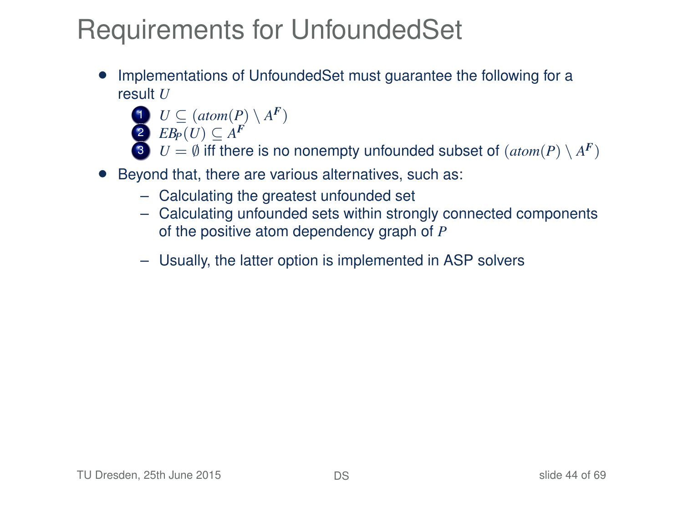## Requirements for UnfoundedSet

- Implementations of UnfoundedSet must guarantee the following for a result *U*
	- $U \subseteq (atom(P) \setminus A^F)$
	- 2  $EB_P(U) \subseteq A^F$
	- 3  $U = \emptyset$  iff there is no nonempty unfounded subset of  $(\text{atom}(P) \setminus A^F)$
- Beyond that, there are various alternatives, such as:
	- Calculating the greatest unfounded set
	- Calculating unfounded sets within strongly connected components of the positive atom dependency graph of *P*
	- Usually, the latter option is implemented in ASP solvers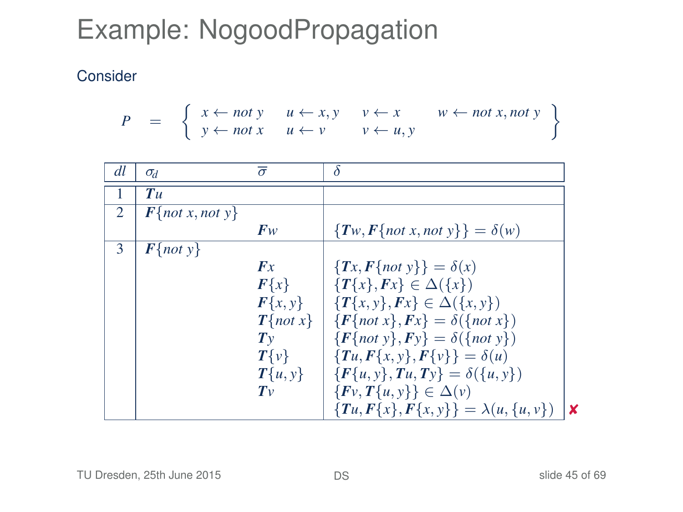# Example: NogoodPropagation

$$
P = \left\{ \begin{array}{ll} x \leftarrow not \ y & u \leftarrow x, y & v \leftarrow x & w \leftarrow not \ x, not \ y \\ y \leftarrow not \ x & u \leftarrow v & v \leftarrow u, y \end{array} \right\}
$$

| dl | $\sigma_d$                  | $\overline{\sigma}$ | δ                                             |     |
|----|-----------------------------|---------------------|-----------------------------------------------|-----|
|    | Tu                          |                     |                                               |     |
| 2  | $\mathbf{F}$ {not x, not y} |                     |                                               |     |
|    |                             | $F_{W}$             | $\{Tw, F\}$ not x, not $y\}$ = $\delta(w)$    |     |
| 3  | $F{not y}$                  |                     |                                               |     |
|    |                             | Fx                  | ${Tx, F\{not\} } = \delta(x)$                 |     |
|    |                             | $F\{x\}$            | ${T\{x\}, Fx} \in \Delta({x})$                |     |
|    |                             | $F\{x, y\}$         | ${T{x, y}, Fx} \in \Delta({x, y})$            |     |
|    |                             | $T{not x}$          | $\{F\{not x\}, Fx\} = \delta(\{not x\})$      |     |
|    |                             | $T_{V}$             | $\{F\{not\ v\}, F\psi\} = \delta(\{not\ v\})$ |     |
|    |                             | $T\{v\}$            | ${T_{u}, F{x, y}, F{v}} = \delta(u)$          |     |
|    |                             | $T{u,y}$            | $\{F\{u, y\}, Tu, Ty\} = \delta(\{u, y\})$    |     |
|    |                             | $T_{V}$             | $\{Fv, T\{u, y\}\}\in \Delta(v)$              |     |
|    |                             |                     | ${Tu, F{x}, F{x, y}} = \lambda(u, {u, v})$    | l X |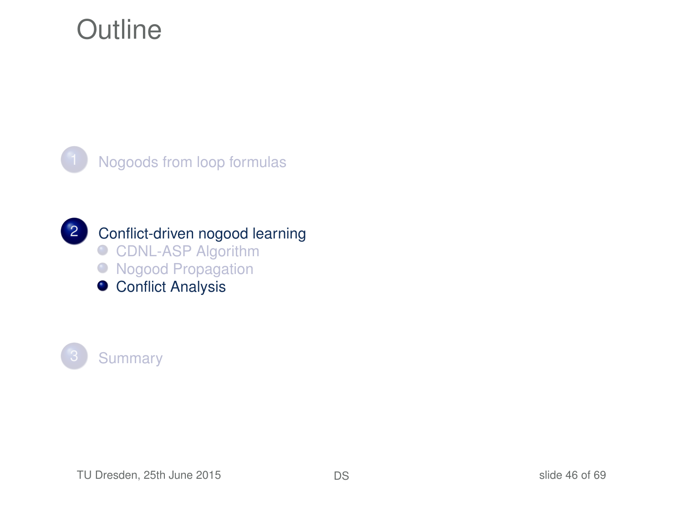### **Outline**





2 [Conflict-driven nogood learning](#page-13-0) ● [CDNL-ASP Algorithm](#page-17-0) ● [Nogood Propagation](#page-36-0)

<span id="page-45-0"></span>**• [Conflict Analysis](#page-45-0)** 

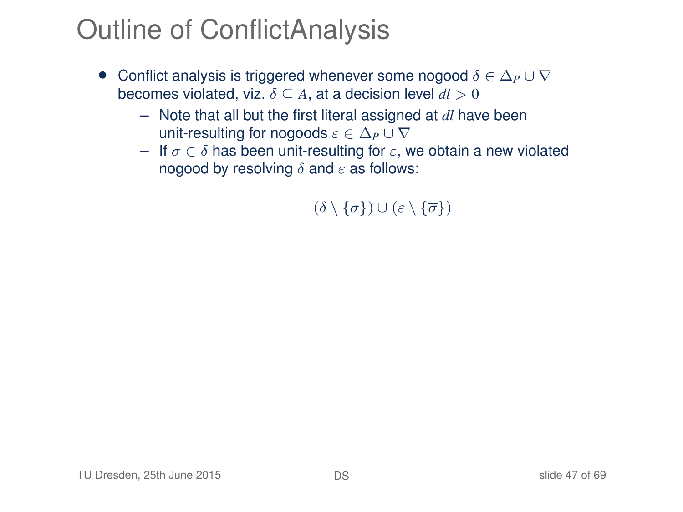# Outline of ConflictAnalysis

- Conflict analysis is triggered whenever some nogood δ ∈ ∆*<sup>P</sup>* ∪ ∇ becomes violated, viz.  $\delta \subseteq A$ , at a decision level  $dl > 0$ 
	- Note that all but the first literal assigned at *dl* have been unit-resulting for nogoods  $\varepsilon \in \Delta_P \cup \nabla$
	- If  $\sigma \in \delta$  has been unit-resulting for  $\varepsilon$ , we obtain a new violated nogood by resolving  $\delta$  and  $\varepsilon$  as follows:

 $(\delta \setminus \{\sigma\}) \cup (\varepsilon \setminus \{\overline{\sigma}\})$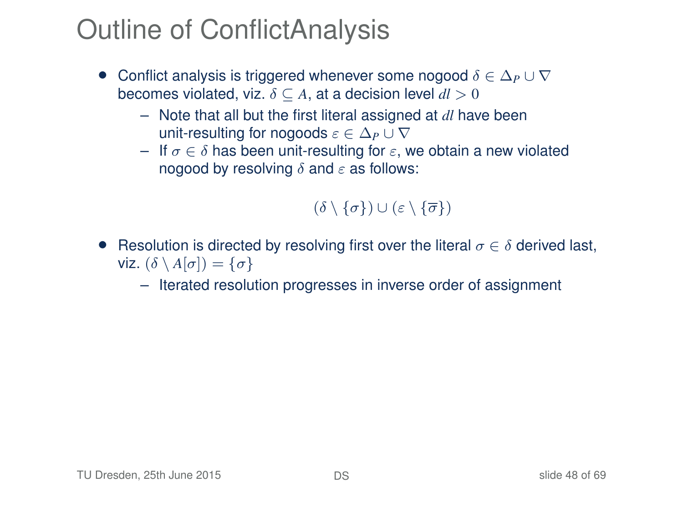## Outline of ConflictAnalysis

- Conflict analysis is triggered whenever some nogood δ ∈ ∆*<sup>P</sup>* ∪ ∇ becomes violated, viz.  $\delta \subseteq A$ , at a decision level  $dl > 0$ 
	- Note that all but the first literal assigned at *dl* have been unit-resulting for nogoods  $\varepsilon \in \Delta_P \cup \nabla$
	- If  $\sigma \in \delta$  has been unit-resulting for  $\varepsilon$ , we obtain a new violated nogood by resolving  $\delta$  and  $\varepsilon$  as follows:

#### $(\delta \setminus \{\sigma\}) \cup (\varepsilon \setminus \{\overline{\sigma}\})$

• Resolution is directed by resolving first over the literal  $\sigma \in \delta$  derived last, viz.  $(\delta \setminus A[\sigma]) = \{\sigma\}$ 

– Iterated resolution progresses in inverse order of assignment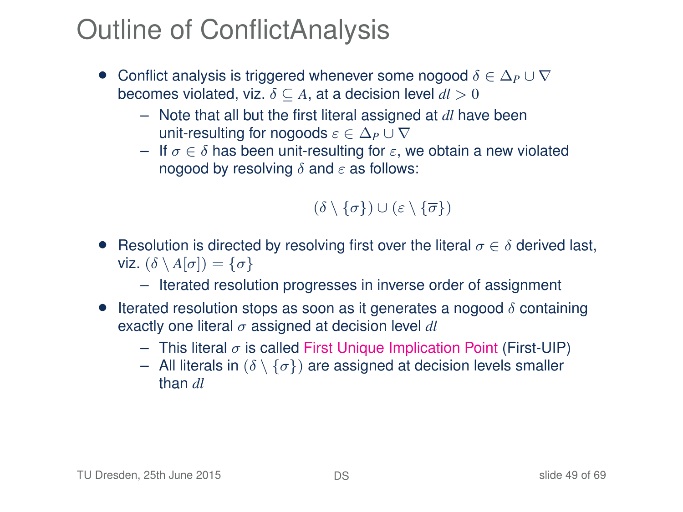# Outline of ConflictAnalysis

- Conflict analysis is triggered whenever some nogood δ ∈ ∆*<sup>P</sup>* ∪ ∇ becomes violated, viz.  $\delta \subseteq A$ , at a decision level  $dl > 0$ 
	- Note that all but the first literal assigned at *dl* have been unit-resulting for nogoods  $\varepsilon \in \Delta_P \cup \nabla$
	- If  $\sigma \in \delta$  has been unit-resulting for  $\varepsilon$ , we obtain a new violated nogood by resolving  $\delta$  and  $\varepsilon$  as follows:

#### $(\delta \setminus \{\sigma\}) \cup (\varepsilon \setminus \{\overline{\sigma}\})$

- Resolution is directed by resolving first over the literal  $\sigma \in \delta$  derived last, viz.  $(\delta \setminus A[\sigma]) = \{\sigma\}$ 
	- Iterated resolution progresses in inverse order of assignment
- Iterated resolution stops as soon as it generates a nogood  $\delta$  containing exactly one literal  $\sigma$  assigned at decision level  $dl$ 
	- This literal  $\sigma$  is called First Unique Implication Point (First-UIP)
	- All literals in  $(\delta \setminus {\{\sigma\}})$  are assigned at decision levels smaller than *dl*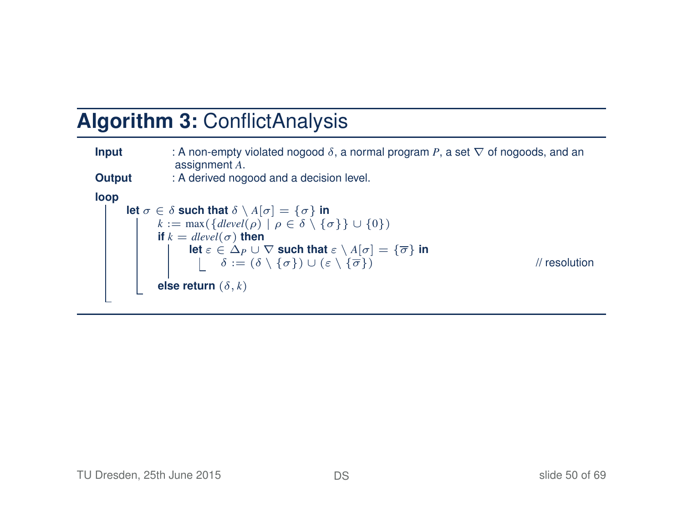#### **Algorithm 3:** ConflictAnalysis

| Input  | : A non-empty violated nogood $\delta$ , a normal program P, a set $\nabla$ of nogoods, and an<br>assignment A.                                                                                             |               |
|--------|-------------------------------------------------------------------------------------------------------------------------------------------------------------------------------------------------------------|---------------|
| Output | : A derived nogood and a decision level.                                                                                                                                                                    |               |
| loop   |                                                                                                                                                                                                             |               |
|        | let $\sigma \in \delta$ such that $\delta \setminus A[\sigma] = {\sigma}$ in                                                                                                                                |               |
|        | $k := \max(\{ \text{devel}(\rho) \mid \rho \in \delta \setminus \{\sigma\} \} \cup \{0\})$                                                                                                                  |               |
|        | if $k = \text{dlevel}(\sigma)$ then                                                                                                                                                                         |               |
|        |                                                                                                                                                                                                             |               |
|        | let $\varepsilon \in \Delta_P \cup \nabla$ such that $\varepsilon \setminus A[\sigma] = {\overline{\sigma}}$ in<br>$\delta := (\delta \setminus {\sigma}) \cup (\varepsilon \setminus {\overline{\sigma}})$ | // resolution |
|        | else return $(\delta, k)$                                                                                                                                                                                   |               |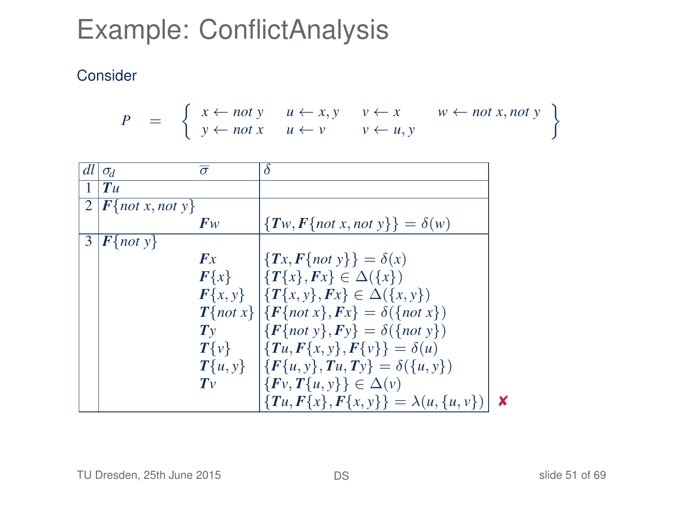$$
P = \left\{ \begin{array}{ll} x \leftarrow not \ y & u \leftarrow x, y & v \leftarrow x & w \leftarrow not \ x, not \ y \\ y \leftarrow not \ x & u \leftarrow v & v \leftarrow u, y \end{array} \right\}
$$

| dl | $\sigma_d$                             | $\bar{\sigma}$ | δ                                                                    |   |
|----|----------------------------------------|----------------|----------------------------------------------------------------------|---|
|    | $T$ u                                  |                |                                                                      |   |
|    | $\overline{2}$ <b>F</b> {not x, not y} |                |                                                                      |   |
|    |                                        | $F_W$          | $\{Tw, F\{not x, not y\}\} = \delta(w)$                              |   |
| 3  | $\left  \mathbf{F} \right\}$ not y     |                |                                                                      |   |
|    |                                        | Fx             | $\{Tx, F\{not\} \} = \delta(x)$                                      |   |
|    |                                        | $F\{x\}$       | $\left \left\{T\{x\},Fx\right\}\right  \in \Delta(\left\{x\right\})$ |   |
|    |                                        |                | $F\{x, y\}$ $\{T\{x, y\}, Fx\} \in \Delta(\{x, y\})$                 |   |
|    |                                        |                | $T\{not x\}   \{F\{not x\}, Fx\} = \delta(\{not x\})$                |   |
|    |                                        | Tv             | ${F{not y}, Fy} = \delta({not y})$                                   |   |
|    |                                        | $T\{v\}$       | $\{Tu, F\{x, y\}, F\{v\}\} = \delta(u)$                              |   |
|    |                                        |                | $T\{u, y\}$ $\{F\{u, y\}, T u, T y\} = \delta(\{u, y\})$             |   |
|    |                                        | $T_{V}$        | $\{Fv, T\{u, y\}\}\in \Delta(v)$                                     |   |
|    |                                        |                | ${Tu, F{x}, F{x,y}} = \lambda(u, {u, v})$                            | × |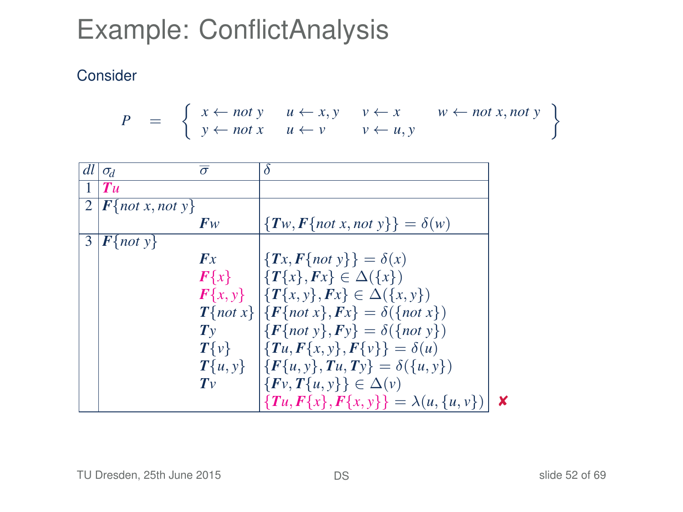#### Consider

$$
P = \left\{ \begin{array}{ll} x \leftarrow not \ y & u \leftarrow x, y & v \leftarrow x & w \leftarrow not \ x, not \ y \\ y \leftarrow not \ x & u \leftarrow v & v \leftarrow u, y \end{array} \right\}
$$

|   | $dl   \sigma_d$       | $\overline{\sigma}$ | δ                                                      |   |
|---|-----------------------|---------------------|--------------------------------------------------------|---|
|   | $T$ u                 |                     |                                                        |   |
|   | $2  F$ {not x, not y} |                     |                                                        |   |
|   |                       | $F_W$               | $\{Tw, F\{not x, not y\}\} = \delta(w)$                |   |
| 3 | $\mathbf{F}$ {not y}  |                     |                                                        |   |
|   |                       | Fx                  | $\{\{Tx, F\{not\} \}\} = \delta(x)$                    |   |
|   |                       |                     | $F\{x\}$ $\{T\{x\}, Fx\} \in \Delta(\{x\})$            |   |
|   |                       |                     | $F\{x, y\}$ $\{T\{x, y\}, Fx\} \in \Delta(\{x, y\})$   |   |
|   |                       |                     | $T\{not x\}   \{F\{not x\}, Fx\} = \delta(\{not x\})$  |   |
|   |                       | $T_{V}$             | ${F{not y}, Fy} = \delta({not y})$                     |   |
|   |                       | $T\{v\}$            | $\{Tu, F\{x, y\}, F\{v\}\} = \delta(u)$                |   |
|   |                       |                     | $T\{u, v\}$ $\{F\{u, v\}, Tu, Tv\} = \delta(\{u, v\})$ |   |
|   |                       | $T_{V}$             | $\{Fv, T\{u, y\}\}\in \Delta(v)$                       |   |
|   |                       |                     | ${Tu, F{x}, F{x, y}} = \lambda(u, {u, v})$             | × |

#### TU Dresden, 25th June 2015 **[DS](#page-0-0) DS** Slide 52 of 69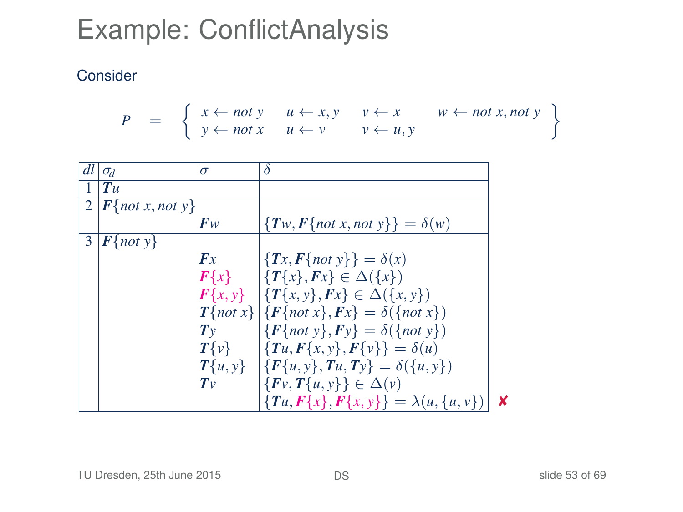#### Consider

$$
P = \left\{ \begin{array}{ll} x \leftarrow not \ y & u \leftarrow x, y & v \leftarrow x & w \leftarrow not \ x, not \ y \\ y \leftarrow not \ x & u \leftarrow v & v \leftarrow u, y \end{array} \right\}
$$

| dl | $\sigma_d$                                   | $\bar{\sigma}$ | δ                                                      |   |
|----|----------------------------------------------|----------------|--------------------------------------------------------|---|
|    | T u                                          |                |                                                        |   |
|    | $\overline{2}$   $\mathbf{F}$ {not x, not y} |                |                                                        |   |
|    |                                              | $F_W$          | $\{Tw, F\{not x, not y\}\} = \delta(w)$                |   |
| 3  | $\mathbf{F}$ {not y}                         |                |                                                        |   |
|    |                                              | Fx             | $\{\{Tx, F\{not\} \}\} = \delta(x)$                    |   |
|    |                                              |                | $F\{x\}$ $\{T\{x\}, Fx\} \in \Delta(\{x\})$            |   |
|    |                                              |                | $F\{x, y\}$ $\{T\{x, y\}, Fx\} \in \Delta(\{x, y\})$   |   |
|    |                                              |                | $T\{not x\}   \{F\{not x\}, Fx\} = \delta(\{not x\})$  |   |
|    |                                              | $T_{V}$        | ${F{not y}, Fy} = \delta({not y})$                     |   |
|    |                                              | $T\{v\}$       | $\{Tu, F\{x, y\}, F\{v\}\} = \delta(u)$                |   |
|    |                                              |                | $T\{u, y\}$ $\{F\{u, y\}, Tu, Tv\} = \delta(\{u, y\})$ |   |
|    |                                              | $T_{V}$        | $\{Fv, T\{u, y\}\}\in \Delta(v)$                       |   |
|    |                                              |                | ${Tu, F{x}, F{x,y}} = \lambda(u, {u, v})$              | x |

#### TU Dresden, 25th June 2015 **[DS](#page-0-0) DS** Slide 53 of 69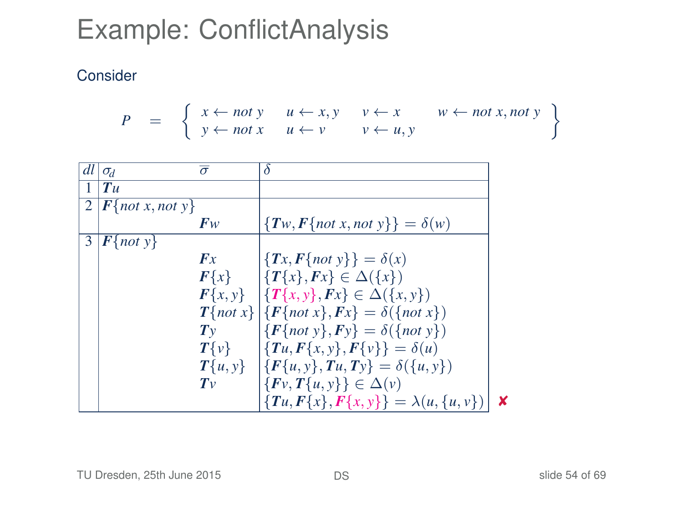#### Consider

$$
P = \left\{ \begin{array}{ll} x \leftarrow not \ y & u \leftarrow x, y & v \leftarrow x & w \leftarrow not \ x, not \ y \\ y \leftarrow not \ x & u \leftarrow v & v \leftarrow u, y \end{array} \right\}
$$

| dl | $\sigma_d$                                | $\overline{\sigma}$ | δ                                                                    |   |
|----|-------------------------------------------|---------------------|----------------------------------------------------------------------|---|
|    | Tu                                        |                     |                                                                      |   |
|    | $2  F\{not x, not y\} $                   |                     |                                                                      |   |
|    |                                           | F <sub>W</sub>      | $\{Tw, F\{not x, not y\}\} = \delta(w)$                              |   |
| 3  | $\left  \mathbf{F} \{ not \ y \} \right $ |                     |                                                                      |   |
|    |                                           | Fx                  | $\{Tx, F\{not\} \} = \delta(x)$                                      |   |
|    |                                           | $F\{x\}$            | $\left \left\{T\{x\},Fx\right\}\right  \in \Delta(\left\{x\right\})$ |   |
|    |                                           |                     | $F\{x, y\}$ $\{T\{x, y\}, Fx\} \in \Delta(\{x, y\})$                 |   |
|    |                                           |                     | $T\{not x\}   \{F\{not x\}, Fx\} = \delta(\{not x\})$                |   |
|    |                                           | $T_{V}$             | ${F{not y}, Fy} = \delta({not y})$                                   |   |
|    |                                           | $T\{v\}$            | $\{Tu, F\{x, y\}, F\{v\}\} = \delta(u)$                              |   |
|    |                                           |                     | $T\{u, y\}$ $\{F\{u, y\}, Tu, Tv\} = \delta(\{u, y\})$               |   |
|    |                                           | $T_{V}$             | $\{F_v, T\{u, v\}\}\in \Delta(v)$                                    |   |
|    |                                           |                     | ${Tu, F{x}, F{x,y}} = \lambda(u, {u, v})$                            | × |

#### TU Dresden, 25th June 2015 **[DS](#page-0-0) DS** Slide 54 of 69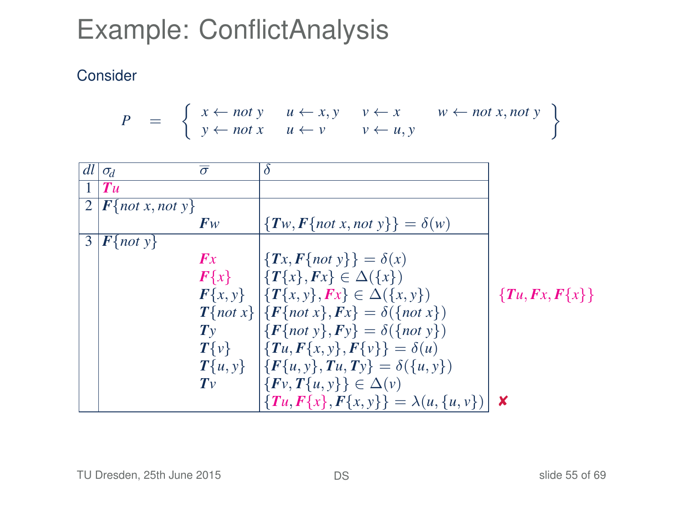$$
P = \left\{ \begin{array}{ll} x \leftarrow not \ y & u \leftarrow x, y & v \leftarrow x & w \leftarrow not \ x, not \ y \\ y \leftarrow not \ x & u \leftarrow v & v \leftarrow u, y \end{array} \right\}
$$

| dl             | $\sigma_d$                              | $\overline{\sigma}$ | δ                                                        |                        |
|----------------|-----------------------------------------|---------------------|----------------------------------------------------------|------------------------|
|                | T u                                     |                     |                                                          |                        |
| $\overline{2}$ | $\left  \int F\{not x, not y\} \right $ |                     |                                                          |                        |
|                |                                         | $F_W$               | ${T_w, F\{not x, not y\}} = \delta(w)$                   |                        |
| 3              | $\mathbf{F}$ {not y}                    |                     |                                                          |                        |
|                |                                         | Fx                  | $\{Tx, F\{not\} \} = \delta(x)$                          |                        |
|                |                                         |                     | $F\{x\}$ $\{T\{x\}, Fx\} \in \Delta(\{x\})$              |                        |
|                |                                         |                     | $F\{x, y\}$ $\{T\{x, y\}, Fx\} \in \Delta(\{x, y\})$     | ${T_{u}, F_{x}, F{x}}$ |
|                |                                         |                     | $T\{not x\}   \{F\{not x\}, Fx\} = \delta(\{not x\})$    |                        |
|                |                                         | $T_{V}$             | $\{F\{not\ v\}, F\psi\} = \delta(\{not\ v\})$            |                        |
|                |                                         |                     | $T\{v\}$ $\{Tu, F\{x, y\}, F\{v\}\} = \delta(u)$         |                        |
|                |                                         |                     | $T\{u, y\}$ $\{F\{u, y\}, T u, T y\} = \delta(\{u, y\})$ |                        |
|                |                                         | $T_{V}$             | $\{Fv, T\{u, y\}\}\in \Delta(v)$                         |                        |
|                |                                         |                     | $\{Tu, F\{x\}, F\{x, y\}\} = \lambda(u, \{u, v\})$       | x                      |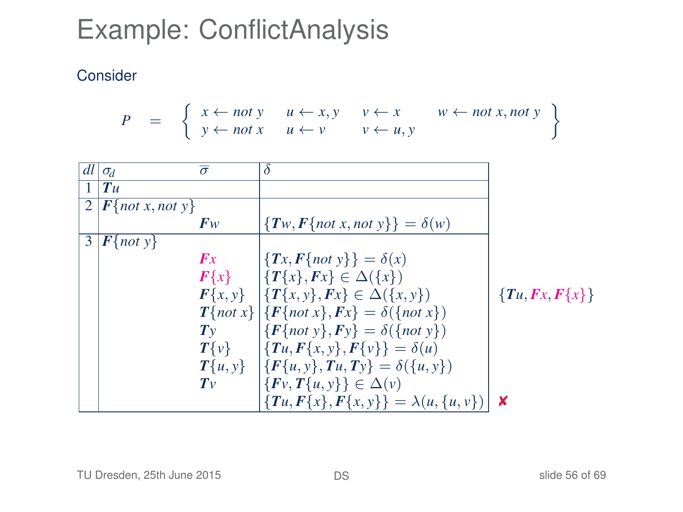$$
P = \left\{ \begin{array}{ll} x \leftarrow not \ y & u \leftarrow x, y & v \leftarrow x & w \leftarrow not \ x, not \ y \\ y \leftarrow not \ x & u \leftarrow v & v \leftarrow u, y \end{array} \right\}
$$

| dl             | $\sigma_d$                              | $\overline{\sigma}$ | δ                                                        |                  |
|----------------|-----------------------------------------|---------------------|----------------------------------------------------------|------------------|
| $\mathbf{1}$   | T u                                     |                     |                                                          |                  |
| $\overline{2}$ | $\left  \int F\{not x, not y\} \right $ |                     |                                                          |                  |
|                |                                         | $F_W$               | ${T_w, F\{not x, not y\}} = \delta(w)$                   |                  |
| 3              | $\mathbf{F}$ {not y}                    |                     |                                                          |                  |
|                |                                         | Fx                  | $\{Tx, F\{not\} \} = \delta(x)$                          |                  |
|                |                                         |                     | $F\{x\}$ $\{T\{x\}, Fx\} \in \Delta(\{x\})$              |                  |
|                |                                         |                     | $F\{x, y\}$ $\{T\{x, y\}, Fx\} \in \Delta(\{x, y\})$     | ${Tu, Fx, F{x}}$ |
|                |                                         |                     | $T\{not x\}   \{F\{not x\}, Fx\} = \delta(\{not x\})$    |                  |
|                |                                         | $T_{V}$             | $\{F\{not\ v\}, F\psi\} = \delta(\{not\ v\})$            |                  |
|                |                                         |                     | $T\{v\}$ $\{Tu, F\{x, y\}, F\{v\}\} = \delta(u)$         |                  |
|                |                                         |                     | $T\{u, y\}$ $\{F\{u, y\}, T u, T y\} = \delta(\{u, y\})$ |                  |
|                |                                         | $T_{V}$             | $\{Fv, T\{u, y\}\}\in \Delta(v)$                         |                  |
|                |                                         |                     | ${Tu, F{x}, F{x,y}} = \lambda(u, {u, v})$                | x                |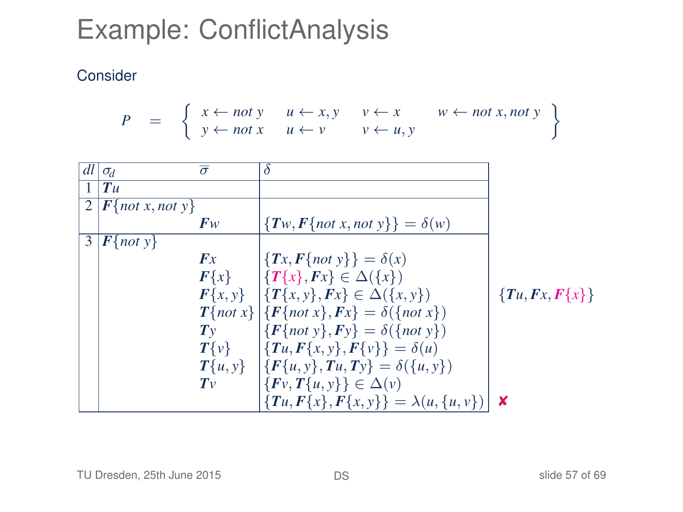$$
P = \left\{ \begin{array}{ll} x \leftarrow not \ y & u \leftarrow x, y & v \leftarrow x & w \leftarrow not \ x, not \ y \\ y \leftarrow not \ x & u \leftarrow v & v \leftarrow u, y \end{array} \right\}
$$

| dl             | $\sigma_d$                           | $\overline{\sigma}$ | δ                                                      |                  |
|----------------|--------------------------------------|---------------------|--------------------------------------------------------|------------------|
| $\mathbf{1}$   | T u                                  |                     |                                                        |                  |
| $\overline{2}$ | $\left  \int F \right $ not x, not y |                     |                                                        |                  |
|                |                                      | $F_W$               | ${T_w, F\{not x, not y\}} = \delta(w)$                 |                  |
| 3              | $\mathbf{F}$ {not y}                 |                     |                                                        |                  |
|                |                                      | Fx                  | ${Tx,F{not y}} = \delta(x)$                            |                  |
|                |                                      |                     | $F\{x\}$ $\{T\{x\}, Fx\} \in \Delta(\{x\})$            |                  |
|                |                                      |                     | $F\{x, y\}$ $\{T\{x, y\}, Fx\} \in \Delta(\{x, y\})$   | ${Tu, Fx, F{x}}$ |
|                |                                      |                     | $T\{not x\}   \{F\{not x\}, Fx\} = \delta(\{not x\})$  |                  |
|                |                                      | $T_{V}$             | $\{F\{not\ y\}, Fy\} = \delta(\{not\ y\})$             |                  |
|                |                                      |                     | $T\{v\}$ $\{Tu, F\{x, y\}, F\{v\}\} = \delta(u)$       |                  |
|                |                                      |                     | $T\{u, y\}$ $\{F\{u, y\}, Tu, Ty\} = \delta(\{u, y\})$ |                  |
|                |                                      | $T_{V}$             | $\{Fv, T\{u, y\}\}\in \Delta(v)$                       |                  |
|                |                                      |                     | ${Tu, F{x}, F{x,y}} = \lambda(u, {u, v})$              | ×                |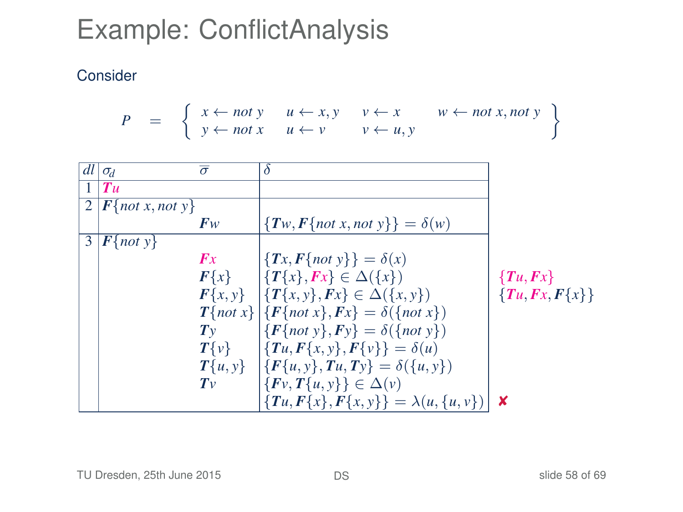$$
P = \left\{ \begin{array}{ll} x \leftarrow not \ y & u \leftarrow x, y & v \leftarrow x & w \leftarrow not \ x, not \ y \\ y \leftarrow not \ x & u \leftarrow v & v \leftarrow u, y \end{array} \right\}
$$

|   | $dl \sigma_d$         | $\overline{\sigma}$ | δ                                                        |                  |
|---|-----------------------|---------------------|----------------------------------------------------------|------------------|
|   | $T$ u                 |                     |                                                          |                  |
|   | $2  F$ {not x, not y} |                     |                                                          |                  |
|   |                       | $F_W$               | ${T_w, F\{not x, not y\}} = \delta(w)$                   |                  |
| 3 | $F{not y}$            |                     |                                                          |                  |
|   |                       | Fx                  | $\{Tx, F\{not\} \} = \delta(x)$                          |                  |
|   |                       |                     | $F\{x\}$ $\{T\{x\}, Fx\} \in \Delta(\{x\})$              | $\{Tu, Fx\}$     |
|   |                       |                     | $F\{x, y\}$ $\{T\{x, y\}, Fx\} \in \Delta(\{x, y\})$     | ${Tu, Fx, F{x}}$ |
|   |                       |                     | $T\{not x\}   \{F\{not x\}, Fx\} = \delta(\{not x\})$    |                  |
|   |                       | $T_{V}$             | $\{F\{not\ y\}, Fy\} = \delta(\{not\ y\})$               |                  |
|   |                       |                     | $T\{v\}$ $\{Tu, F\{x, v\}, F\{v\}\} = \delta(u)$         |                  |
|   |                       |                     | $T\{u, y\}$ $\{F\{u, y\}, T u, T y\} = \delta(\{u, y\})$ |                  |
|   |                       | $T_{V}$             | $\{Fv, T\{u, y\}\}\in \Delta(v)$                         |                  |
|   |                       |                     | ${Tu, F{x}, F{x, y}} = \lambda(u, {u, v})$               | ×                |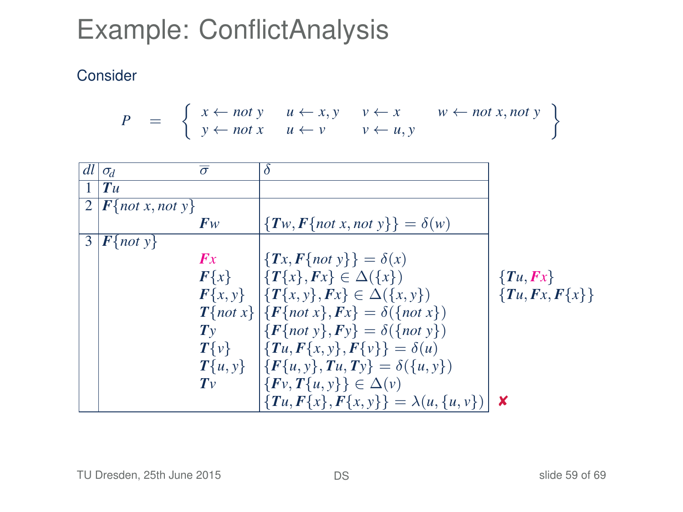$$
P = \left\{ \begin{array}{ll} x \leftarrow not \ y & u \leftarrow x, y & v \leftarrow x & w \leftarrow not \ x, not \ y \\ y \leftarrow not \ x & u \leftarrow v & v \leftarrow u, y \end{array} \right\}
$$

|   | $dl \sigma_d$         | $\overline{\sigma}$ | δ                                                        |                  |
|---|-----------------------|---------------------|----------------------------------------------------------|------------------|
|   | Tu                    |                     |                                                          |                  |
|   | $2  F$ {not x, not y} |                     |                                                          |                  |
|   |                       | $F_W$               | ${T_w, F\{not x, not y\}} = \delta(w)$                   |                  |
| 3 | $F{not y}$            |                     |                                                          |                  |
|   |                       | Fx                  | $\{Tx, F\{not\} \} = \delta(x)$                          |                  |
|   |                       |                     | $F\{x\}$ $\{T\{x\}, Fx\} \in \Delta(\{x\})$              | $\{Tu, Fx\}$     |
|   |                       |                     | $F\{x, y\}$ $\{T\{x, y\}, Fx\} \in \Delta(\{x, y\})$     | ${Tu, Fx, F{x}}$ |
|   |                       |                     | $T\{not x\}   \{F\{not x\}, Fx\} = \delta(\{not x\})$    |                  |
|   |                       | $T_{V}$             | $\{F\{not\ y\}, Fy\} = \delta(\{not\ y\})$               |                  |
|   |                       |                     | $T\{v\}$ $\{Tu, F\{x, v\}, F\{v\}\} = \delta(u)$         |                  |
|   |                       |                     | $T\{u, y\}$ $\{F\{u, y\}, T u, T y\} = \delta(\{u, y\})$ |                  |
|   |                       | $T_{V}$             | $\{Fv, T\{u, y\}\}\in \Delta(v)$                         |                  |
|   |                       |                     | ${Tu, F{x}, F{x,y}} = \lambda(u, {u, v})$                | ×                |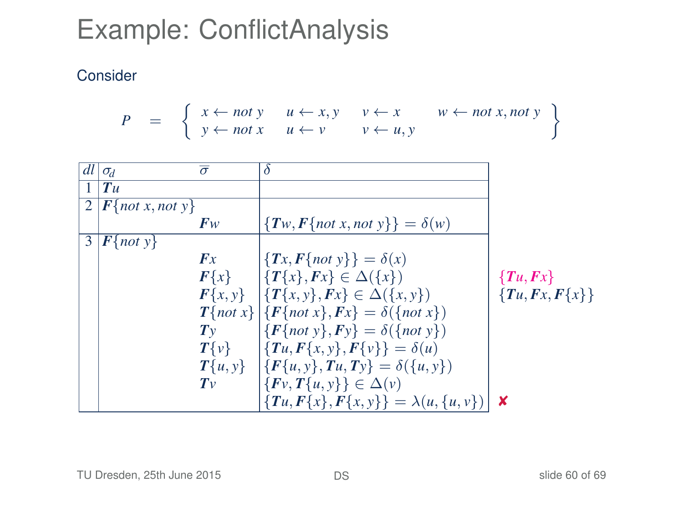$$
P = \left\{ \begin{array}{ll} x \leftarrow not \ y & u \leftarrow x, y & v \leftarrow x & w \leftarrow not \ x, not \ y \\ y \leftarrow not \ x & u \leftarrow v & v \leftarrow u, y \end{array} \right\}
$$

| dl           | $\sigma_d$                                         | $\overline{\sigma}$ | δ                                                        |                  |
|--------------|----------------------------------------------------|---------------------|----------------------------------------------------------|------------------|
| $\mathbf{1}$ | $T$ u                                              |                     |                                                          |                  |
|              | $\overline{2\mid}$ <b>F</b> {not x, not y}         |                     |                                                          |                  |
|              |                                                    | $F_W$               | ${T_w, F\{not x, not y\}} = \delta(w)$                   |                  |
| 3            | $\left  \mathbf{F}\right\{ \text{not } y \right\}$ |                     |                                                          |                  |
|              |                                                    | Fx                  | ${Tx,F{not y}} = \delta(x)$                              |                  |
|              |                                                    |                     | $F\{x\}$ $\{T\{x\}, Fx\} \in \Delta(\{x\})$              | $\{Tu, Fx\}$     |
|              |                                                    |                     | $F\{x, y\}$ $\{T\{x, y\}, Fx\} \in \Delta(\{x, y\})$     | ${Tu, Fx, F{x}}$ |
|              |                                                    |                     | $T\{not x\}   \{F\{not x\}, Fx\} = \delta(\{not x\})$    |                  |
|              |                                                    | $T_{V}$             | $\{F\{not\ y\}, Fy\} = \delta(\{not\ y\})$               |                  |
|              |                                                    |                     | $T\{v\}$ $\{Tu, F\{x, y\}, F\{v\}\} = \delta(u)$         |                  |
|              |                                                    |                     | $T\{u, y\}$ $\{F\{u, y\}, T u, T y\} = \delta(\{u, y\})$ |                  |
|              |                                                    | $T_{V}$             | $\{Fv, T\{u, y\}\}\in \Delta(v)$                         |                  |
|              |                                                    |                     | ${Tu, F{x}, F{x,y}} = \lambda(u, {u, v})$                | x                |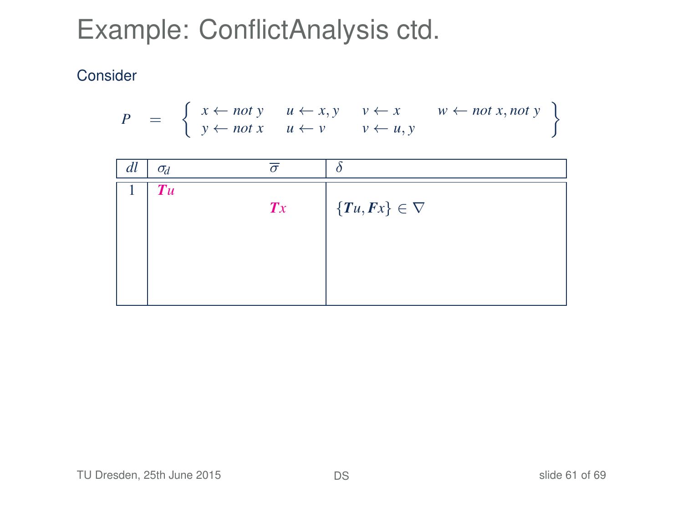$$
P = \left\{ \begin{array}{ccc} x \leftarrow not \ y & u \leftarrow x, y & v \leftarrow x & w \leftarrow not \ x, not \ y \\ y \leftarrow not \ x & u \leftarrow v & v \leftarrow u, y \end{array} \right\}
$$

| dl | $\sigma_d$ |                |                         |
|----|------------|----------------|-------------------------|
|    | Tu         |                |                         |
|    |            | $\mathbf{T} x$ | $\{Tu, Fx\} \in \nabla$ |
|    |            |                |                         |
|    |            |                |                         |
|    |            |                |                         |
|    |            |                |                         |
|    |            |                |                         |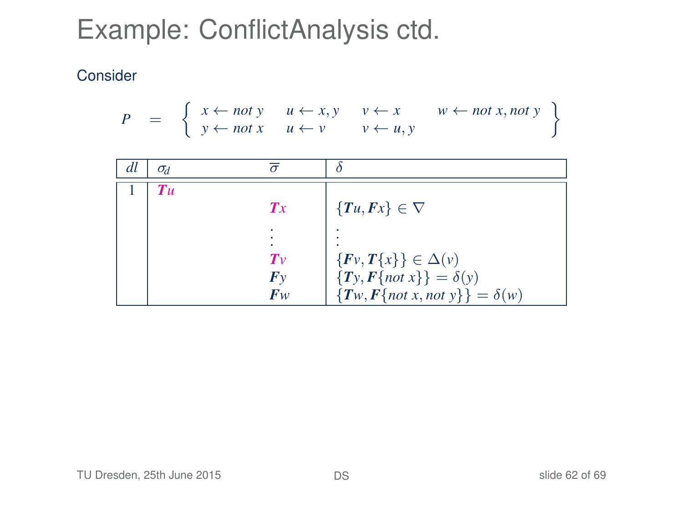$$
P = \left\{ \begin{array}{ccc} x \leftarrow not \ y & u \leftarrow x, y & v \leftarrow x & w \leftarrow not \ x, not \ y \\ y \leftarrow not \ x & u \leftarrow v & v \leftarrow u, y \end{array} \right\}
$$

| dl | $\sigma_d$        |         |                                         |
|----|-------------------|---------|-----------------------------------------|
|    | $T_{\mathcal{U}}$ |         |                                         |
|    |                   | Tx      | $\{Tu, Fx\} \in \nabla$                 |
|    |                   |         |                                         |
|    |                   | $T_{V}$ | $\{Fv, T\{x\}\}\in \Delta(v)$           |
|    |                   | Fv      | ${T_y, F\{not\} } = \delta(y)$          |
|    |                   | $F_W$   | $\{Tw, F\{not x, not y\}\} = \delta(w)$ |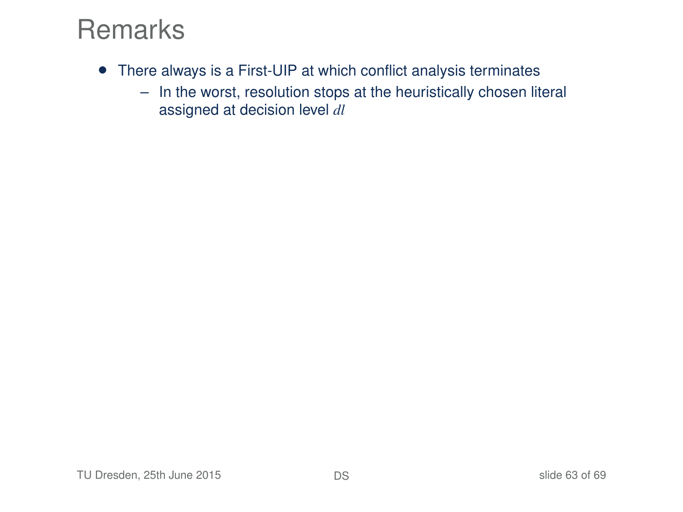- There always is a First-UIP at which conflict analysis terminates
	- In the worst, resolution stops at the heuristically chosen literal assigned at decision level *dl*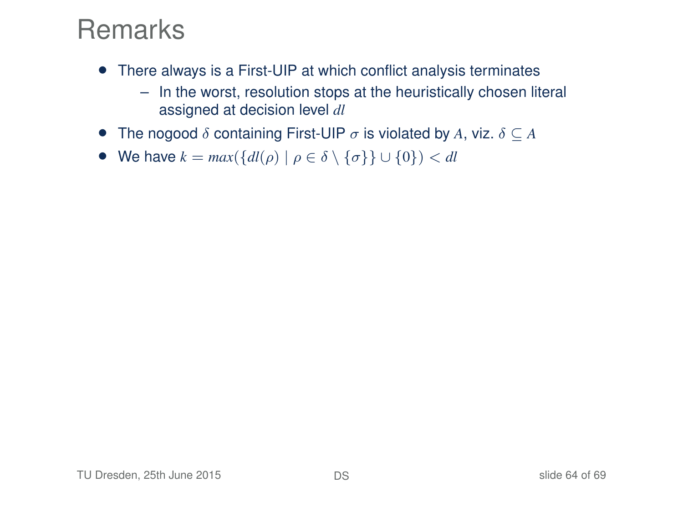- There always is a First-UIP at which conflict analysis terminates
	- In the worst, resolution stops at the heuristically chosen literal assigned at decision level *dl*
- The nogood  $\delta$  containing First-UIP  $\sigma$  is violated by A, viz.  $\delta \subset A$
- We have  $k = max({d l(\rho) | \rho \in \delta \setminus {\{\sigma\}} \cup {0}}) < d l$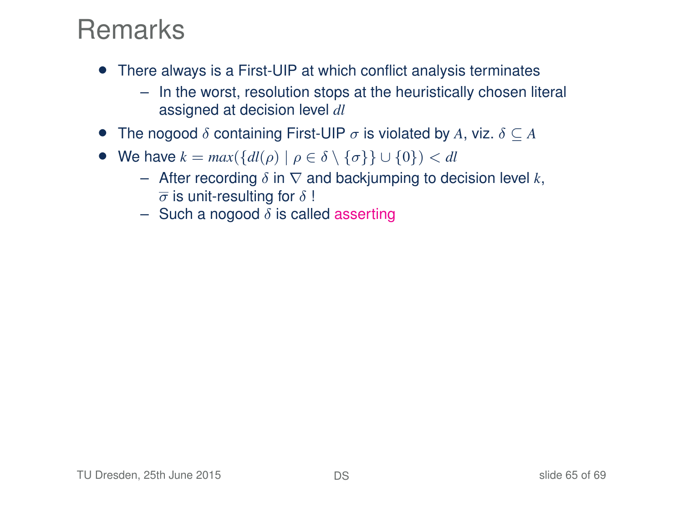- There always is a First-UIP at which conflict analysis terminates
	- In the worst, resolution stops at the heuristically chosen literal assigned at decision level *dl*
- The nogood  $\delta$  containing First-UIP  $\sigma$  is violated by A, viz.  $\delta \subseteq A$
- We have  $k = max({d l(\rho) | \rho \in \delta \setminus {\{\sigma\}} \cup {0\}}) < d l$ 
	- After recording δ in ∇ and backjumping to decision level *k*,  $\overline{\sigma}$  is unit-resulting for  $\delta$  !
	- Such a nogood  $\delta$  is called asserting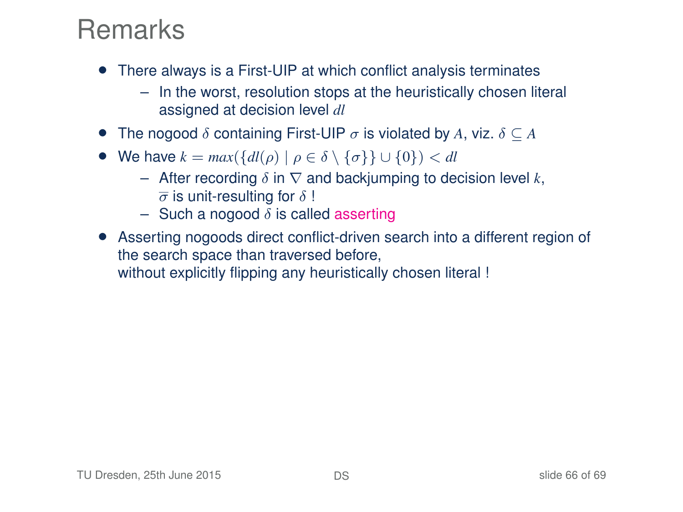- There always is a First-UIP at which conflict analysis terminates
	- In the worst, resolution stops at the heuristically chosen literal assigned at decision level *dl*
- The nogood  $\delta$  containing First-UIP  $\sigma$  is violated by A, viz.  $\delta \subseteq A$
- We have  $k = max({\lbrace dl(\rho) \mid \rho \in \delta \setminus {\lbrace \sigma \rbrace \rbrace \cup \lbrace 0 \rbrace}) < dl$ 
	- After recording δ in ∇ and backjumping to decision level *k*,  $\overline{\sigma}$  is unit-resulting for  $\delta$ !
	- Such a nogood  $\delta$  is called asserting
- Asserting nogoods direct conflict-driven search into a different region of the search space than traversed before, without explicitly flipping any heuristically chosen literal !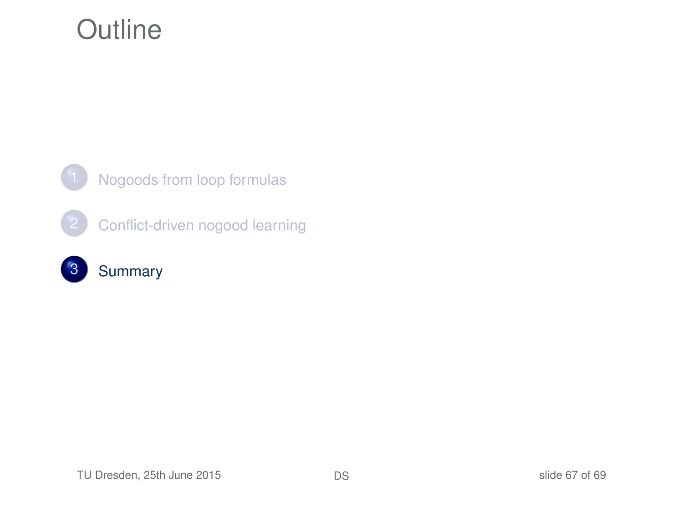### **Outline**



<span id="page-66-0"></span>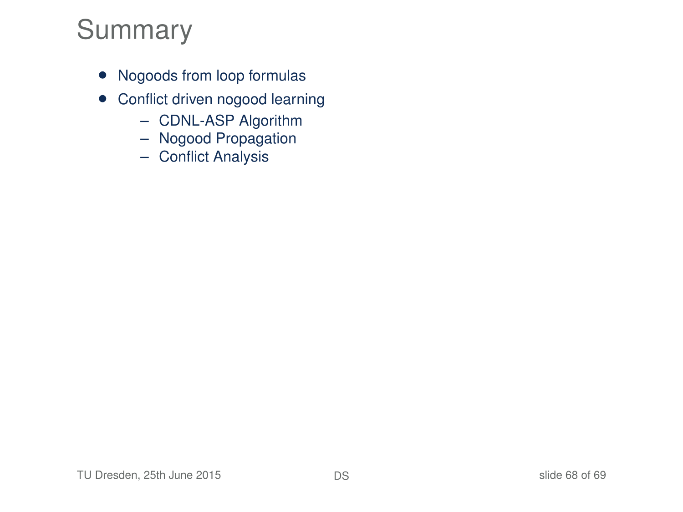### Summary

- Nogoods from loop formulas
- Conflict driven nogood learning
	- CDNL-ASP Algorithm
	- Nogood Propagation
	- Conflict Analysis